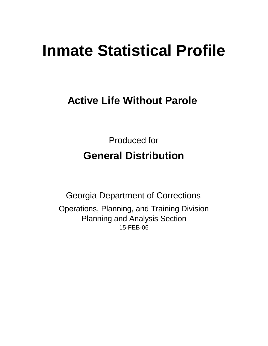# **Inmate Statistical Profile**

# **Active Life Without Parole**

Produced for **General Distribution**

15-FEB-06 Georgia Department of Corrections Operations, Planning, and Training Division Planning and Analysis Section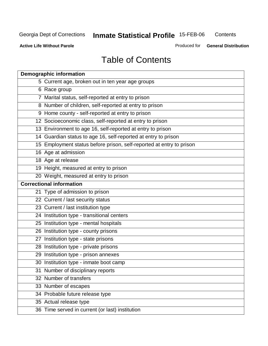**Contents** 

**Active Life Without Parole** 

Produced for **General Distribution**

## Table of Contents

| <b>Demographic information</b>                                       |
|----------------------------------------------------------------------|
| 5 Current age, broken out in ten year age groups                     |
| 6 Race group                                                         |
| 7 Marital status, self-reported at entry to prison                   |
| 8 Number of children, self-reported at entry to prison               |
| 9 Home county - self-reported at entry to prison                     |
| 12 Socioeconomic class, self-reported at entry to prison             |
| 13 Environment to age 16, self-reported at entry to prison           |
| 14 Guardian status to age 16, self-reported at entry to prison       |
| 15 Employment status before prison, self-reported at entry to prison |
| 16 Age at admission                                                  |
| 18 Age at release                                                    |
| 19 Height, measured at entry to prison                               |
| 20 Weight, measured at entry to prison                               |
| <b>Correctional information</b>                                      |
| 21 Type of admission to prison                                       |
| 22 Current / last security status                                    |
| 23 Current / last institution type                                   |
| 24 Institution type - transitional centers                           |
| 25 Institution type - mental hospitals                               |
| 26 Institution type - county prisons                                 |
| 27 Institution type - state prisons                                  |
| 28 Institution type - private prisons                                |
| 29 Institution type - prison annexes                                 |
| 30 Institution type - inmate boot camp                               |
| 31 Number of disciplinary reports                                    |
| 32 Number of transfers                                               |
| 33 Number of escapes                                                 |
| 34 Probable future release type                                      |
| 35 Actual release type                                               |
| 36 Time served in current (or last) institution                      |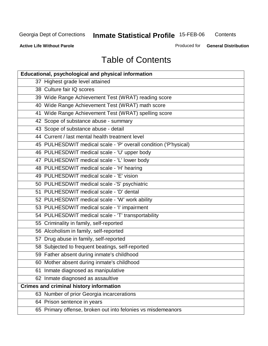**Contents** 

**Active Life Without Parole** 

Produced for **General Distribution**

# Table of Contents

| <b>Educational, psychological and physical information</b>       |
|------------------------------------------------------------------|
| 37 Highest grade level attained                                  |
| 38 Culture fair IQ scores                                        |
| 39 Wide Range Achievement Test (WRAT) reading score              |
| 40 Wide Range Achievement Test (WRAT) math score                 |
| 41 Wide Range Achievement Test (WRAT) spelling score             |
| 42 Scope of substance abuse - summary                            |
| 43 Scope of substance abuse - detail                             |
| 44 Current / last mental health treatment level                  |
| 45 PULHESDWIT medical scale - 'P' overall condition ('P'hysical) |
| 46 PULHESDWIT medical scale - 'U' upper body                     |
| 47 PULHESDWIT medical scale - 'L' lower body                     |
| 48 PULHESDWIT medical scale - 'H' hearing                        |
| 49 PULHESDWIT medical scale - 'E' vision                         |
| 50 PULHESDWIT medical scale -'S' psychiatric                     |
| 51 PULHESDWIT medical scale - 'D' dental                         |
| 52 PULHESDWIT medical scale - 'W' work ability                   |
| 53 PULHESDWIT medical scale - 'I' impairment                     |
| 54 PULHESDWIT medical scale - 'T' transportability               |
| 55 Criminality in family, self-reported                          |
| 56 Alcoholism in family, self-reported                           |
| 57 Drug abuse in family, self-reported                           |
| 58 Subjected to frequent beatings, self-reported                 |
| 59 Father absent during inmate's childhood                       |
| 60 Mother absent during inmate's childhood                       |
| 61 Inmate diagnosed as manipulative                              |
| 62 Inmate diagnosed as assaultive                                |
| <b>Crimes and criminal history information</b>                   |
| 63 Number of prior Georgia incarcerations                        |
| 64 Prison sentence in years                                      |
| 65 Primary offense, broken out into felonies vs misdemeanors     |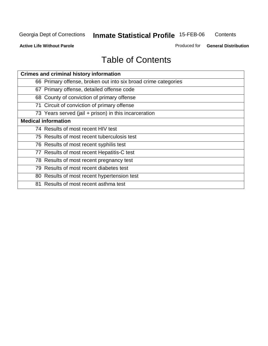**Contents** 

**Active Life Without Parole** 

Produced for **General Distribution**

## Table of Contents

| <b>Crimes and criminal history information</b>                 |
|----------------------------------------------------------------|
| 66 Primary offense, broken out into six broad crime categories |
| 67 Primary offense, detailed offense code                      |
| 68 County of conviction of primary offense                     |
| 71 Circuit of conviction of primary offense                    |
| 73 Years served (jail + prison) in this incarceration          |
| <b>Medical information</b>                                     |
| 74 Results of most recent HIV test                             |
| 75 Results of most recent tuberculosis test                    |
| 76 Results of most recent syphilis test                        |
| 77 Results of most recent Hepatitis-C test                     |
| 78 Results of most recent pregnancy test                       |
| 79 Results of most recent diabetes test                        |
| 80 Results of most recent hypertension test                    |
| 81 Results of most recent asthma test                          |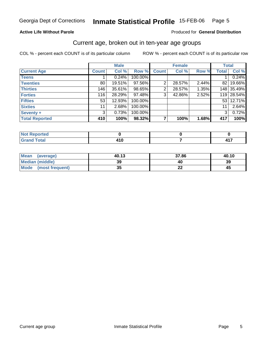#### **Active Life Without Parole**

#### Produced for **General Distribution**

### Current age, broken out in ten-year age groups

|                       |              | <b>Male</b> |         |              | <b>Female</b> |       | <b>Total</b>   |            |
|-----------------------|--------------|-------------|---------|--------------|---------------|-------|----------------|------------|
| <b>Current Age</b>    | <b>Count</b> | Col %       | Row %   | <b>Count</b> | Col %         | Row % | <b>Total</b>   | Col %      |
| <b>Teens</b>          |              | 0.24%       | 100.00% |              |               |       |                | 0.24%      |
| <b>Twenties</b>       | 80           | 19.51%      | 97.56%  | 2            | 28.57%        | 2.44% | 821            | 19.66%     |
| <b>Thirties</b>       | 146          | 35.61%      | 98.65%  | 2            | 28.57%        | 1.35% |                | 148 35.49% |
| <b>Forties</b>        | 116          | 28.29%      | 97.48%  | 3            | 42.86%        | 2.52% |                | 119 28.54% |
| <b>Fifties</b>        | 53           | 12.93%      | 100.00% |              |               |       |                | 53 12.71%  |
| <b>Sixties</b>        | 11           | 2.68%       | 100.00% |              |               |       | 11             | 2.64%      |
| Seventy +             | 3            | 0.73%       | 100.00% |              |               |       | 3 <sup>1</sup> | 0.72%      |
| <b>Total Reported</b> | 410          | 100%        | 98.32%  |              | 100%          | 1.68% | 417            | 100%       |

| N <sub>of</sub><br>rted<br>. <b>.</b> |     |  |
|---------------------------------------|-----|--|
| $F \cap f \cap f$                     | ı u |  |

| Mean<br>(average)       | 40.13    | 37.86     | 40.10 |
|-------------------------|----------|-----------|-------|
| <b>Median (middle)</b>  | 39       | 40        | 39    |
| Mode<br>(most frequent) | 25<br>vu | 00<br>. . | 45    |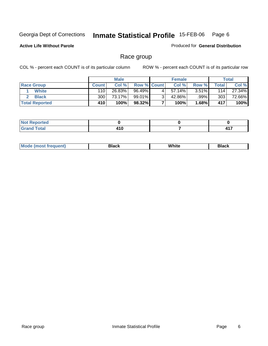**Active Life Without Parole** 

Produced for **General Distribution**

### Race group

|                       |              | <b>Male</b> |                    |   | <b>Female</b> |       |       | <b>Total</b> |
|-----------------------|--------------|-------------|--------------------|---|---------------|-------|-------|--------------|
| <b>Race Group</b>     | <b>Count</b> | Col %       | <b>Row % Count</b> |   | Col %         | Row % | Total | Col %        |
| <b>White</b>          | 110          | 26.83%      | 96.49%             |   | 57.14%        | 3.51% | 114   | 27.34%       |
| <b>Black</b>          | 300          | 73.17%      | 99.01%I            | ◠ | 42.86%        | .99%  | 303   | 72.66%       |
| <b>Total Reported</b> | 410          | 100%        | 98.32%             |   | 100%          | 1.68% | 417   | 100%         |

| <b>Street, and with</b><br>rtea<br>. <b>.</b> |                      |       |
|-----------------------------------------------|----------------------|-------|
| Coto!<br>$\sim$                               | .<br>4 I U<br>$\sim$ | $4 -$ |

| ' M∩<br>nuemn<br> | Black | White | 3lack |
|-------------------|-------|-------|-------|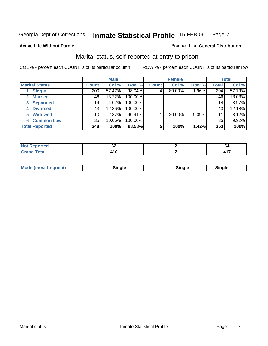**Active Life Without Parole** 

#### Produced for **General Distribution**

### Marital status, self-reported at entry to prison

|                                  |                 | <b>Male</b> |         |              | <b>Female</b> |          |              | <b>Total</b> |
|----------------------------------|-----------------|-------------|---------|--------------|---------------|----------|--------------|--------------|
| <b>Marital Status</b>            | <b>Count</b>    | Col %       | Row %   | <b>Count</b> | Col %         | Row %    | <b>Total</b> | Col %        |
| <b>Single</b>                    | 200             | 57.47%      | 98.04%  | 4'           | 80.00%        | 1.96%    | 204          | 57.79%       |
| <b>Married</b>                   | 46              | 13.22%      | 100.00% |              |               |          | 46           | 13.03%       |
| <b>Separated</b><br>$\mathbf{3}$ | 14 <sub>1</sub> | 4.02%       | 100.00% |              |               |          | 14           | 3.97%        |
| <b>Divorced</b><br>4             | 43              | 12.36%      | 100.00% |              |               |          | 43           | 12.18%       |
| <b>Widowed</b><br>5              | 10              | 2.87%       | 90.91%  |              | 20.00%        | $9.09\%$ | 11           | 3.12%        |
| <b>Common Law</b><br>6           | 35              | 10.06%      | 100.00% |              |               |          | 35           | 9.92%        |
| <b>Total Reported</b>            | 348             | 100%        | 98.58%  | 5            | 100%          | 1.42%    | 353          | 100%         |

| .<br>тес | VŁ | o.                       |
|----------|----|--------------------------|
|          | .  | $\overline{\phantom{a}}$ |

| <b>Mode</b><br>uent).<br>en<br><b>IMOST IF</b> | Time ale<br>sınale | ືnαle∴ | Sinale |  |
|------------------------------------------------|--------------------|--------|--------|--|
|------------------------------------------------|--------------------|--------|--------|--|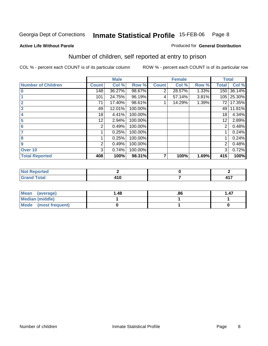Produced for **General Distribution**

#### **Active Life Without Parole**

### Number of children, self reported at entry to prison

|                           |              | <b>Male</b> |         |              | <b>Female</b> |       | <b>Total</b> |        |
|---------------------------|--------------|-------------|---------|--------------|---------------|-------|--------------|--------|
| <b>Number of Children</b> | <b>Count</b> | Col %       | Row %   | <b>Count</b> | Col %         | Row % | <b>Total</b> | Col %  |
| $\bf{0}$                  | 148          | 36.27%      | 98.67%  | 2            | 28.57%        | 1.33% | 150          | 36.14% |
|                           | 101          | 24.75%      | 96.19%  | 4            | 57.14%        | 3.81% | 105          | 25.30% |
| $\overline{2}$            | 71           | 17.40%      | 98.61%  |              | 14.29%        | 1.39% | 72           | 17.35% |
| 3                         | 49           | 12.01%      | 100.00% |              |               |       | 49           | 11.81% |
| 4                         | 18           | 4.41%       | 100.00% |              |               |       | 18           | 4.34%  |
| 5                         | 12           | 2.94%       | 100.00% |              |               |       | 12           | 2.89%  |
| 6                         | 2            | 0.49%       | 100.00% |              |               |       | 2            | 0.48%  |
|                           |              | 0.25%       | 100.00% |              |               |       |              | 0.24%  |
| 8                         |              | 0.25%       | 100.00% |              |               |       |              | 0.24%  |
| 9                         | 2            | 0.49%       | 100.00% |              |               |       | 2            | 0.48%  |
| Over 10                   | 3            | 0.74%       | 100.00% |              |               |       | 3            | 0.72%  |
| <b>Total Reported</b>     | 408          | 100%        | 98.31%  | 7            | 100%          | 1.69% | 415          | 100%   |

| لمنتشر بالتعبين<br>теа<br>.             |   |              |
|-----------------------------------------|---|--------------|
| $T \wedge f \wedge f'$<br><b>.</b><br>_ | . | 117<br>T I A |

| <b>Mean</b><br>(average) | ∣.48 | .86 | . 47 |
|--------------------------|------|-----|------|
| Median (middle)          |      |     |      |
| Mode (most frequent)     |      |     |      |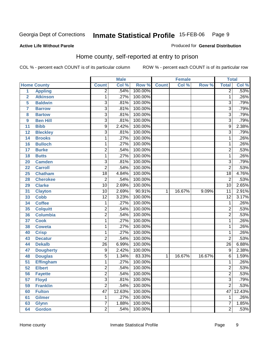#### **Active Life Without Parole**

#### Produced for **General Distribution**

### Home county, self-reported at entry to prison

|                 |                    |                         | <b>Male</b> |         |              | <b>Female</b> |        | <b>Total</b>    |        |
|-----------------|--------------------|-------------------------|-------------|---------|--------------|---------------|--------|-----------------|--------|
|                 | <b>Home County</b> | <b>Count</b>            | Col %       | Row %   | <b>Count</b> | Col %         | Row %  | <b>Total</b>    | Col %  |
| $\overline{1}$  | <b>Appling</b>     | $\overline{2}$          | .54%        | 100.00% |              |               |        | $\overline{2}$  | .53%   |
| $\overline{2}$  | <b>Atkinson</b>    | 1                       | .27%        | 100.00% |              |               |        | 1               | .26%   |
| 5               | <b>Baldwin</b>     | $\overline{3}$          | .81%        | 100.00% |              |               |        | $\overline{3}$  | .79%   |
| $\overline{7}$  | <b>Barrow</b>      | $\overline{3}$          | .81%        | 100.00% |              |               |        | $\overline{3}$  | .79%   |
| 8               | <b>Bartow</b>      | $\overline{3}$          | .81%        | 100.00% |              |               |        | $\overline{3}$  | .79%   |
| 9               | <b>Ben Hill</b>    | $\overline{3}$          | .81%        | 100.00% |              |               |        | $\overline{3}$  | .79%   |
| 11              | <b>Bibb</b>        | $\overline{9}$          | 2.42%       | 100.00% |              |               |        | $\overline{9}$  | 2.38%  |
| 12              | <b>Bleckley</b>    | $\overline{3}$          | .81%        | 100.00% |              |               |        | $\overline{3}$  | .79%   |
| 14              | <b>Brooks</b>      | 1                       | .27%        | 100.00% |              |               |        | 1               | .26%   |
| 16              | <b>Bulloch</b>     | 1                       | .27%        | 100.00% |              |               |        | 1               | .26%   |
| 17              | <b>Burke</b>       | $\overline{2}$          | .54%        | 100.00% |              |               |        | $\overline{2}$  | .53%   |
| 18              | <b>Butts</b>       | $\mathbf{1}$            | .27%        | 100.00% |              |               |        | 1               | .26%   |
| 20              | <b>Camden</b>      | $\overline{3}$          | .81%        | 100.00% |              |               |        | $\overline{3}$  | .79%   |
| 22              | <b>Carroll</b>     | $\overline{2}$          | .54%        | 100.00% |              |               |        | $\overline{2}$  | .53%   |
| 25              | <b>Chatham</b>     | $\overline{18}$         | 4.84%       | 100.00% |              |               |        | $\overline{18}$ | 4.76%  |
| 28              | <b>Cherokee</b>    | $\overline{2}$          | .54%        | 100.00% |              |               |        | $\overline{2}$  | .53%   |
| 29              | <b>Clarke</b>      | $\overline{10}$         | 2.69%       | 100.00% |              |               |        | $\overline{10}$ | 2.65%  |
| 31              | <b>Clayton</b>     | $\overline{10}$         | 2.69%       | 90.91%  | $\mathbf{1}$ | 16.67%        | 9.09%  | $\overline{11}$ | 2.91%  |
| 33              | <b>Cobb</b>        | $\overline{12}$         | 3.23%       | 100.00% |              |               |        | $\overline{12}$ | 3.17%  |
| 34              | <b>Coffee</b>      | 1                       | .27%        | 100.00% |              |               |        | $\mathbf{1}$    | .26%   |
| 35              | <b>Colquitt</b>    | $\overline{2}$          | .54%        | 100.00% |              |               |        | $\overline{2}$  | .53%   |
| 36              | <b>Columbia</b>    | $\overline{2}$          | .54%        | 100.00% |              |               |        | $\overline{2}$  | .53%   |
| 37              | <b>Cook</b>        | 1                       | .27%        | 100.00% |              |               |        | 1               | .26%   |
| 38              | <b>Coweta</b>      | 1                       | .27%        | 100.00% |              |               |        | 1               | .26%   |
| 40              | <b>Crisp</b>       | 1                       | .27%        | 100.00% |              |               |        | 1               | .26%   |
| 43              | <b>Decatur</b>     | $\overline{2}$          | .54%        | 100.00% |              |               |        | $\overline{2}$  | .53%   |
| 44              | <b>Dekalb</b>      | $\overline{26}$         | 6.99%       | 100.00% |              |               |        | $\overline{26}$ | 6.88%  |
| 47              | <b>Dougherty</b>   | 9                       | 2.42%       | 100.00% |              |               |        | $\overline{9}$  | 2.38%  |
| 48              | <b>Douglas</b>     | 5                       | 1.34%       | 83.33%  | 1            | 16.67%        | 16.67% | 6               | 1.59%  |
| $\overline{51}$ | <b>Effingham</b>   | 1                       | .27%        | 100.00% |              |               |        | $\overline{1}$  | .26%   |
| $\overline{52}$ | <b>Elbert</b>      | $\overline{2}$          | .54%        | 100.00% |              |               |        | $\overline{2}$  | .53%   |
| 56              | <b>Fayette</b>     | $\overline{\mathbf{c}}$ | .54%        | 100.00% |              |               |        | $\overline{c}$  | .53%   |
| 57              | <b>Floyd</b>       | $\overline{3}$          | .81%        | 100.00% |              |               |        | $\overline{3}$  | .79%   |
| 59              | <b>Franklin</b>    | $\overline{2}$          | .54%        | 100.00% |              |               |        | $\overline{2}$  | .53%   |
| 60              | <b>Fulton</b>      | $\overline{47}$         | 12.63%      | 100.00% |              |               |        | 47              | 12.43% |
| 61              | <b>Gilmer</b>      | 1                       | .27%        | 100.00% |              |               |        | $\overline{1}$  | .26%   |
| 63              | <b>Glynn</b>       | $\overline{7}$          | 1.88%       | 100.00% |              |               |        | $\overline{7}$  | 1.85%  |
| 64              | <b>Gordon</b>      | $\overline{2}$          | .54%        | 100.00% |              |               |        | $\overline{2}$  | .53%   |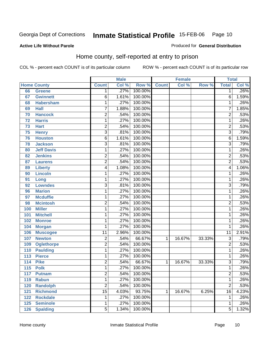Produced for **General Distribution**

#### **Active Life Without Parole**

### Home county, self-reported at entry to prison

|                  |                    |                         | <b>Male</b> |         |              | <b>Female</b> |        | <b>Total</b>            |       |
|------------------|--------------------|-------------------------|-------------|---------|--------------|---------------|--------|-------------------------|-------|
|                  | <b>Home County</b> | <b>Count</b>            | Col %       | Row %   | <b>Count</b> | Col %         | Row %  | <b>Total</b>            | Col % |
| 66               | <b>Greene</b>      | 1                       | .27%        | 100.00% |              |               |        | 1                       | .26%  |
| 67               | <b>Gwinnett</b>    | 6                       | 1.61%       | 100.00% |              |               |        | $\overline{6}$          | 1.59% |
| 68               | <b>Habersham</b>   | 1                       | .27%        | 100.00% |              |               |        | 1                       | .26%  |
| 69               | <b>Hall</b>        | $\overline{7}$          | 1.88%       | 100.00% |              |               |        | 7                       | 1.85% |
| 70               | <b>Hancock</b>     | $\overline{2}$          | .54%        | 100.00% |              |               |        | $\overline{2}$          | .53%  |
| 72               | <b>Harris</b>      | 1                       | .27%        | 100.00% |              |               |        | 1                       | .26%  |
| 73               | <b>Hart</b>        | 2                       | .54%        | 100.00% |              |               |        | $\overline{2}$          | .53%  |
| 75               | <b>Henry</b>       | $\overline{3}$          | .81%        | 100.00% |              |               |        | $\overline{\mathbf{3}}$ | .79%  |
| 76               | <b>Houston</b>     | $\overline{6}$          | 1.61%       | 100.00% |              |               |        | $\overline{6}$          | 1.59% |
| 78               | <b>Jackson</b>     | $\overline{3}$          | .81%        | 100.00% |              |               |        | $\overline{3}$          | .79%  |
| 80               | <b>Jeff Davis</b>  | 1                       | .27%        | 100.00% |              |               |        | 1                       | .26%  |
| 82               | <b>Jenkins</b>     | $\overline{2}$          | .54%        | 100.00% |              |               |        | $\overline{2}$          | .53%  |
| 87               | <b>Laurens</b>     | $\overline{2}$          | .54%        | 100.00% |              |               |        | $\overline{2}$          | .53%  |
| 89               | <b>Liberty</b>     | 4                       | 1.08%       | 100.00% |              |               |        | 4                       | 1.06% |
| 90               | <b>Lincoln</b>     | 1                       | .27%        | 100.00% |              |               |        | 1                       | .26%  |
| 91               | Long               | 1                       | .27%        | 100.00% |              |               |        | 1                       | .26%  |
| 92               | <b>Lowndes</b>     | 3                       | .81%        | 100.00% |              |               |        | $\overline{3}$          | .79%  |
| 96               | <b>Marion</b>      | 1                       | .27%        | 100.00% |              |               |        | 1                       | .26%  |
| 97               | <b>Mcduffie</b>    | 1                       | .27%        | 100.00% |              |               |        | 1                       | .26%  |
| 98               | <b>Mcintosh</b>    | $\overline{2}$          | .54%        | 100.00% |              |               |        | $\overline{2}$          | .53%  |
| 100              | <b>Miller</b>      | 1                       | .27%        | 100.00% |              |               |        | 1                       | .26%  |
| 101              | <b>Mitchell</b>    | 1                       | .27%        | 100.00% |              |               |        | 1                       | .26%  |
| 102              | <b>Monroe</b>      | 1                       | .27%        | 100.00% |              |               |        | 1                       | .26%  |
| 104              | <b>Morgan</b>      | 1                       | .27%        | 100.00% |              |               |        | 1                       | .26%  |
| 106              | <b>Muscogee</b>    | $\overline{11}$         | 2.96%       | 100.00% |              |               |        | $\overline{11}$         | 2.91% |
| 107              | <b>Newton</b>      | $\overline{\mathbf{c}}$ | .54%        | 66.67%  | 1            | 16.67%        | 33.33% | $\overline{3}$          | .79%  |
| 109              | <b>Oglethorpe</b>  | 2                       | .54%        | 100.00% |              |               |        | $\overline{2}$          | .53%  |
| 110              | <b>Paulding</b>    | 1                       | .27%        | 100.00% |              |               |        | 1                       | .26%  |
| 113              | <b>Pierce</b>      | 1                       | .27%        | 100.00% |              |               |        | 1                       | .26%  |
| 114              | <b>Pike</b>        | $\overline{2}$          | .54%        | 66.67%  | 1            | 16.67%        | 33.33% | $\overline{3}$          | .79%  |
| $\overline{115}$ | <b>Polk</b>        | 1                       | .27%        | 100.00% |              |               |        | 1                       | .26%  |
| 117              | <b>Putnam</b>      | $\overline{2}$          | .54%        | 100.00% |              |               |        | $\overline{\mathbf{c}}$ | .53%  |
| 119              | <b>Rabun</b>       | 1                       | .27%        | 100.00% |              |               |        | 1                       | .26%  |
| 120              | <b>Randolph</b>    | $\overline{2}$          | .54%        | 100.00% |              |               |        | $\overline{2}$          | .53%  |
| 121              | <b>Richmond</b>    | $\overline{15}$         | 4.03%       | 93.75%  | 1            | 16.67%        | 6.25%  | 16                      | 4.23% |
| 122              | <b>Rockdale</b>    | 1                       | .27%        | 100.00% |              |               |        | 1                       | .26%  |
| 125              | <b>Seminole</b>    | 1                       | .27%        | 100.00% |              |               |        | 1                       | .26%  |
| 126              | <b>Spalding</b>    | $\overline{5}$          | 1.34%       | 100.00% |              |               |        | $\overline{5}$          | 1.32% |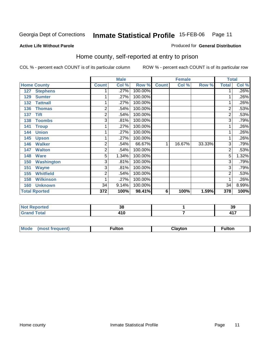#### **Active Life Without Parole**

#### Produced for **General Distribution**

### Home county, self-reported at entry to prison

|     |                      |                | <b>Male</b> |         |              | <b>Female</b> |        | <b>Total</b>   |         |
|-----|----------------------|----------------|-------------|---------|--------------|---------------|--------|----------------|---------|
|     | <b>Home County</b>   | <b>Count</b>   | Col %       | Row %   | <b>Count</b> | Col %         | Row %  | <b>Total</b>   | Col %   |
| 127 | <b>Stephens</b>      |                | .27%        | 100.00% |              |               |        | 1              | $.26\%$ |
| 129 | <b>Sumter</b>        |                | .27%        | 100.00% |              |               |        | 1              | .26%    |
| 132 | <b>Tattnall</b>      |                | .27%        | 100.00% |              |               |        | 1.             | .26%    |
| 136 | <b>Thomas</b>        | $\overline{2}$ | .54%        | 100.00% |              |               |        | $\overline{2}$ | .53%    |
| 137 | <b>Tift</b>          | 2              | .54%        | 100.00% |              |               |        | $\overline{2}$ | .53%    |
| 138 | <b>Toombs</b>        | 3              | .81%        | 100.00% |              |               |        | $\overline{3}$ | .79%    |
| 141 | <b>Troup</b>         |                | .27%        | 100.00% |              |               |        | 1              | $.26\%$ |
| 144 | <b>Union</b>         |                | .27%        | 100.00% |              |               |        | 1              | .26%    |
| 145 | <b>Upson</b>         |                | .27%        | 100.00% |              |               |        | 1.             | .26%    |
| 146 | <b>Walker</b>        | $\overline{2}$ | .54%        | 66.67%  | 1            | 16.67%        | 33.33% | 3              | .79%    |
| 147 | <b>Walton</b>        | 2              | .54%        | 100.00% |              |               |        | $\overline{2}$ | .53%    |
| 148 | <b>Ware</b>          | 5              | 1.34%       | 100.00% |              |               |        | $\overline{5}$ | 1.32%   |
| 150 | <b>Washington</b>    | 3              | .81%        | 100.00% |              |               |        | $\overline{3}$ | .79%    |
| 151 | <b>Wayne</b>         | 3              | .81%        | 100.00% |              |               |        | 3              | .79%    |
| 155 | <b>Whitfield</b>     | $\overline{2}$ | .54%        | 100.00% |              |               |        | $\overline{2}$ | .53%    |
| 158 | <b>Wilkinson</b>     |                | .27%        | 100.00% |              |               |        | 1              | .26%    |
| 160 | <b>Unknown</b>       | 34             | 9.14%       | 100.00% |              |               |        | 34             | 8.99%   |
|     | <b>Total Rported</b> | 372            | 100%        | 98.41%  | 6            | 100%          | 1.59%  | 378            | 100%    |

| Reported | 00<br>IJω  | 20<br>აა     |
|----------|------------|--------------|
| 'otal    | .<br>4 I V | $\lambda$ 17 |

| <b>Mou</b><br>ıltor<br>$-$<br> | $\sim$ $\sim$ | ultor |
|--------------------------------|---------------|-------|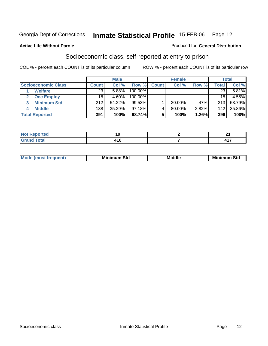#### **Active Life Without Parole**

#### Produced for **General Distribution**

### Socioeconomic class, self-reported at entry to prison

|                            |              | <b>Male</b> |            |              | <b>Female</b> | <b>Total</b> |       |        |
|----------------------------|--------------|-------------|------------|--------------|---------------|--------------|-------|--------|
| <b>Socioeconomic Class</b> | <b>Count</b> | Col%        | Row %      | <b>Count</b> | Col %         | Row %        | Total | Col %  |
| <b>Welfare</b>             | 23           | 5.88%       | 100.00%    |              |               |              | 23    | 5.81%  |
| <b>Occ Employ</b>          | 18           | 4.60%       | $100.00\%$ |              |               |              | 18    | 4.55%  |
| <b>Minimum Std</b>         | 212          | 54.22%      | 99.53%     |              | $20.00\%$     | .47%         | 213   | 53.79% |
| <b>Middle</b>              | 138          | 35.29%      | $97.18\%$  |              | $80.00\%$     | 2.82%        | 142   | 35.86% |
| <b>Total Reported</b>      | 391          | 100%        | 98.74%     |              | 100%          | 1.26%        | 396   | 100%   |

| rted                                                                             | "            | т.       |
|----------------------------------------------------------------------------------|--------------|----------|
| .                                                                                |              |          |
| $T \cap f \cap T$<br>$\overline{\phantom{a}}$ . Juan<br>$\sim$ . $\sim$ . $\sim$ | 1 A M<br>טוי | 447<br>. |

| Mir<br><b>Middle</b><br>Std<br>Std<br>Mını<br>___ |
|---------------------------------------------------|
|---------------------------------------------------|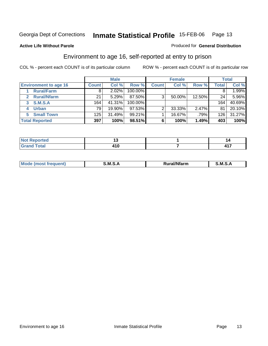#### **Active Life Without Parole**

#### Produced for **General Distribution**

### Environment to age 16, self-reported at entry to prison

|                              |              | <b>Male</b> |           |              | <b>Female</b> |        |       | <b>Total</b> |
|------------------------------|--------------|-------------|-----------|--------------|---------------|--------|-------|--------------|
| <b>Environment to age 16</b> | <b>Count</b> | Col %       | Row %     | <b>Count</b> | Col %         | Row %  | Total | Col %        |
| <b>Rural/Farm</b>            | 8            | 2.02%       | 100.00%   |              |               |        |       | $.99\%$      |
| <b>Rural/Nfarm</b>           | 21           | 5.29%       | 87.50%    | 3            | 50.00%        | 12.50% | 24    | 5.96%        |
| <b>S.M.S.A</b><br>3          | 164          | 41.31%      | 100.00%   |              |               |        | 164.  | 40.69%       |
| <b>Urban</b>                 | 79           | 19.90%      | $97.53\%$ | ◠            | 33.33%        | 2.47%  | 81    | 20.10%       |
| <b>Small Town</b><br>5.      | 125          | 31.49%      | 99.21%    |              | 16.67%        | .79%   | 126   | 31.27%       |
| <b>Total Reported</b>        | 397          | 100%        | 98.51%    | 6            | 100%          | 1.49%  | 403   | 100%         |

| <b>Not Reported</b>   |       |                     |
|-----------------------|-------|---------------------|
| <b>Total</b><br>Grand | 7 I V | ,,,<br>. .<br>T I A |

| M<br>.<br>---<br>s an A<br>.<br>.<br>M<br>M<br>-- |  |  |
|---------------------------------------------------|--|--|
|                                                   |  |  |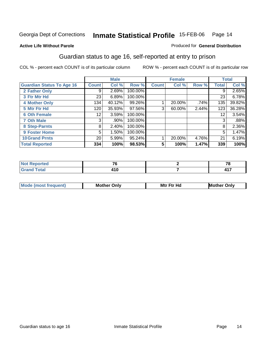#### **Active Life Without Parole**

#### Produced for **General Distribution**

### Guardian status to age 16, self-reported at entry to prison

|                                  |                 | <b>Male</b> |         |              | <b>Female</b> |       |       | <b>Total</b> |
|----------------------------------|-----------------|-------------|---------|--------------|---------------|-------|-------|--------------|
| <b>Guardian Status To Age 16</b> | Count           | Col %       | Row %   | <b>Count</b> | Col %         | Row % | Total | Col %        |
| 2 Father Only                    | 9               | 2.69%       | 100.00% |              |               |       | 9     | 2.65%        |
| 3 Ftr Mtr Hd                     | 23              | 6.89%       | 100.00% |              |               |       | 23    | 6.78%        |
| <b>4 Mother Only</b>             | 134             | 40.12%      | 99.26%  |              | 20.00%        | .74%  | 135   | 39.82%       |
| 5 Mtr Ftr Hd                     | 120             | 35.93%      | 97.56%  | 3            | 60.00%        | 2.44% | 123   | 36.28%       |
| <b>6 Oth Female</b>              | 12 <sub>1</sub> | 3.59%       | 100.00% |              |               |       | 12    | 3.54%        |
| <b>7 Oth Male</b>                | 3               | .90%        | 100.00% |              |               |       | 3     | .88%         |
| 8 Step-Parnts                    | 8               | 2.40%       | 100.00% |              |               |       | 8     | 2.36%        |
| 9 Foster Home                    | 5               | 1.50%       | 100.00% |              |               |       | 5     | 1.47%        |
| <b>10 Grand Prnts</b>            | 20              | 5.99%       | 95.24%  |              | 20.00%        | 4.76% | 21    | 6.19%        |
| <b>Total Reported</b>            | 334             | 100%        | 98.53%  | 5            | 100%          | 1.47% | 339   | 100%         |

| -- | --               |
|----|------------------|
|    | $\overline{117}$ |

| <b>Mode (most frequent)</b> | <b>Mother Only</b> | <b>Mtr Ftr Hd</b> | <b>Mother Only</b> |
|-----------------------------|--------------------|-------------------|--------------------|
|                             |                    |                   |                    |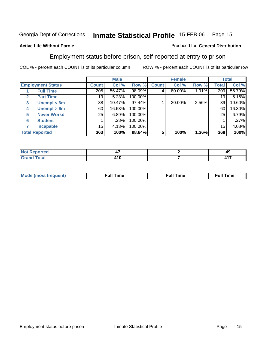#### **Active Life Without Parole**

#### Produced for **General Distribution**

### Employment status before prison, self-reported at entry to prison

|                                  |              | <b>Male</b> |           |              | <b>Female</b> |       |                  | <b>Total</b> |
|----------------------------------|--------------|-------------|-----------|--------------|---------------|-------|------------------|--------------|
| <b>Employment Status</b>         | <b>Count</b> | Col %       | Row %     | <b>Count</b> | Col %         | Row % | Total            | Col %        |
| <b>Full Time</b>                 | 205          | 56.47%      | 98.09%    | 4            | 80.00%        | 1.91% | $\overline{209}$ | 56.79%       |
| <b>Part Time</b><br>$\mathbf{2}$ | 19           | 5.23%       | 100.00%   |              |               |       | 19               | 5.16%        |
| Unempl $<$ 6m<br>3               | 38           | 10.47%      | $97.44\%$ |              | 20.00%        | 2.56% | 39               | 10.60%       |
| Unempl > 6m<br>4                 | 60           | 16.53%      | 100.00%   |              |               |       | 60               | 16.30%       |
| <b>Never Workd</b><br>5          | 25           | 6.89%       | 100.00%   |              |               |       | 25               | 6.79%        |
| <b>Student</b><br>6              |              | .28%        | 100.00%   |              |               |       |                  | .27%         |
| <b>Incapable</b>                 | 15           | 4.13%       | 100.00%   |              |               |       | 15               | 4.08%        |
| <b>Total Reported</b>            | 363          | 100%        | 98.64%    | 5            | 100%          | 1.36% | 368              | 100%         |

| тет    | T.                                | 49 |
|--------|-----------------------------------|----|
| ______ | $\overline{ }$<br>. I V<br>$\sim$ | .  |

| Mο | - - | ne | .<br><b>Full Time</b> |
|----|-----|----|-----------------------|
|    |     |    |                       |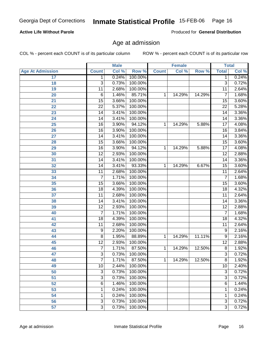### **Active Life Without Parole**

Produced for **General Distribution**

### Age at admission

|                         |                 | <b>Male</b> |         |              | <b>Female</b> |        | <b>Total</b>    |       |
|-------------------------|-----------------|-------------|---------|--------------|---------------|--------|-----------------|-------|
| <b>Age At Admission</b> | <b>Count</b>    | Col %       | Row %   | <b>Count</b> | Col %         | Row %  | <b>Total</b>    | Col % |
| 17                      | 1               | 0.24%       | 100.00% |              |               |        | 1               | 0.24% |
| 18                      | $\overline{3}$  | 0.73%       | 100.00% |              |               |        | $\overline{3}$  | 0.72% |
| 19                      | 11              | 2.68%       | 100.00% |              |               |        | $\overline{11}$ | 2.64% |
| 20                      | $\overline{6}$  | 1.46%       | 85.71%  | 1            | 14.29%        | 14.29% | 7               | 1.68% |
| $\overline{21}$         | $\overline{15}$ | 3.66%       | 100.00% |              |               |        | $\overline{15}$ | 3.60% |
| $\overline{22}$         | $\overline{22}$ | 5.37%       | 100.00% |              |               |        | $\overline{22}$ | 5.28% |
| 23                      | $\overline{14}$ | 3.41%       | 100.00% |              |               |        | $\overline{14}$ | 3.36% |
| 24                      | $\overline{14}$ | 3.41%       | 100.00% |              |               |        | 14              | 3.36% |
| $\overline{25}$         | $\overline{16}$ | 3.90%       | 94.12%  | 1            | 14.29%        | 5.88%  | $\overline{17}$ | 4.08% |
| 26                      | 16              | 3.90%       | 100.00% |              |               |        | 16              | 3.84% |
| 27                      | $\overline{14}$ | 3.41%       | 100.00% |              |               |        | $\overline{14}$ | 3.36% |
| 28                      | $\overline{15}$ | 3.66%       | 100.00% |              |               |        | $\overline{15}$ | 3.60% |
| 29                      | $\overline{16}$ | 3.90%       | 94.12%  | 1            | 14.29%        | 5.88%  | $\overline{17}$ | 4.08% |
| 30                      | $\overline{12}$ | 2.93%       | 100.00% |              |               |        | $\overline{12}$ | 2.88% |
| 31                      | $\overline{14}$ | 3.41%       | 100.00% |              |               |        | $\overline{14}$ | 3.36% |
| 32                      | $\overline{14}$ | 3.41%       | 93.33%  | 1            | 14.29%        | 6.67%  | $\overline{15}$ | 3.60% |
| 33                      | 11              | 2.68%       | 100.00% |              |               |        | $\overline{11}$ | 2.64% |
| 34                      | 7               | 1.71%       | 100.00% |              |               |        | 7               | 1.68% |
| 35                      | $\overline{15}$ | 3.66%       | 100.00% |              |               |        | $\overline{15}$ | 3.60% |
| 36                      | 18              | 4.39%       | 100.00% |              |               |        | $\overline{18}$ | 4.32% |
| 37                      | $\overline{11}$ | 2.68%       | 100.00% |              |               |        | $\overline{11}$ | 2.64% |
| 38                      | $\overline{14}$ | 3.41%       | 100.00% |              |               |        | $\overline{14}$ | 3.36% |
| 39                      | $\overline{12}$ | 2.93%       | 100.00% |              |               |        | $\overline{12}$ | 2.88% |
| 40                      | $\overline{7}$  | 1.71%       | 100.00% |              |               |        | 7               | 1.68% |
| 41                      | $\overline{18}$ | 4.39%       | 100.00% |              |               |        | 18              | 4.32% |
| 42                      | 11              | 2.68%       | 100.00% |              |               |        | $\overline{11}$ | 2.64% |
| 43                      | 9               | 2.20%       | 100.00% |              |               |        | $\overline{9}$  | 2.16% |
| 44                      | 8               | 1.95%       | 88.89%  | 1            | 14.29%        | 11.11% | 9               | 2.16% |
| 45                      | $\overline{12}$ | 2.93%       | 100.00% |              |               |        | $\overline{12}$ | 2.88% |
| 46                      | $\overline{7}$  | 1.71%       | 87.50%  | 1            | 14.29%        | 12.50% | $\overline{8}$  | 1.92% |
| 47                      | $\overline{3}$  | 0.73%       | 100.00% |              |               |        | $\overline{3}$  | 0.72% |
| 48                      | $\overline{7}$  | 1.71%       | 87.50%  | 1            | 14.29%        | 12.50% | 8               | 1.92% |
| 49                      | 10              | 2.44%       | 100.00% |              |               |        | $\overline{10}$ | 2.40% |
| 50                      | 3               | 0.73%       | 100.00% |              |               |        | $\overline{3}$  | 0.72% |
| 51                      | 3               | 0.73%       | 100.00% |              |               |        | 3               | 0.72% |
| 52                      | 6               | 1.46%       | 100.00% |              |               |        | 6               | 1.44% |
| 53                      | 1               | 0.24%       | 100.00% |              |               |        | 1               | 0.24% |
| 54                      | 1               | 0.24%       | 100.00% |              |               |        | 1               | 0.24% |
| 56                      | $\overline{3}$  | 0.73%       | 100.00% |              |               |        | 3               | 0.72% |
| $\overline{57}$         | $\overline{3}$  | 0.73%       | 100.00% |              |               |        | $\overline{3}$  | 0.72% |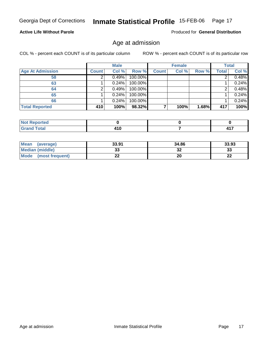#### **Active Life Without Parole**

Produced for **General Distribution**

### Age at admission

|                         |              | <b>Male</b> |         |              | <b>Female</b> |       |       | <b>Total</b> |
|-------------------------|--------------|-------------|---------|--------------|---------------|-------|-------|--------------|
| <b>Age At Admission</b> | <b>Count</b> | Col %       | Row %   | <b>Count</b> | Col %         | Row % | Total | Col %        |
| 58                      |              | 0.49%       | 100.00% |              |               |       |       | 0.48%        |
| 63                      |              | 0.24%       | 100.00% |              |               |       |       | 0.24%        |
| 64                      |              | 0.49%       | 100.00% |              |               |       |       | 0.48%        |
| 65                      |              | 0.24%       | 100.00% |              |               |       |       | 0.24%        |
| 66                      |              | 0.24%       | 100.00% |              |               |       |       | 0.24%        |
| <b>Total Reported</b>   | 410          | 100%        | 98.32%  |              | 100%          | 1.68% | 417   | 100%         |

| rtea<br><b>ANDER THE MANY</b> |    |                  |
|-------------------------------|----|------------------|
| _____                         | __ | --<br><b>TII</b> |

| <b>Mean</b><br>(average) | 33.91 | 34.86 | 33.93        |
|--------------------------|-------|-------|--------------|
| <b>Median (middle)</b>   | JJ    | 32    | 33           |
| Mode<br>(most frequent)  |       | 20    | $\sim$<br>LL |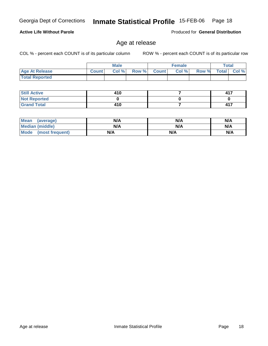**Not Reported Grand Total**

 **Still Active**

 **Total Reported**

**Active Life Without Parole** 

| <b>Mean</b><br>(average) | N/A | N/A | N/A |
|--------------------------|-----|-----|-----|
| <b>Median (middle)</b>   | N/A | N/A | N/A |
| Mode (most frequent)     | N/A | N/A | N/A |

 **Age At Release Count Col % Row % Count Col % Row % Total Col %** 

**Male**

 **410 0 410**

Age at release

COL % - percent each COUNT is of its particular column ROW % - percent each COUNT is of its particular row

**Female Total**

Produced for **General Distribution**

 **417 0 417**

 **7 0 7**

| Georgia Dept of Corrections Inmate Statistical Profile 15-FEB-06 Page 18 |  |  |
|--------------------------------------------------------------------------|--|--|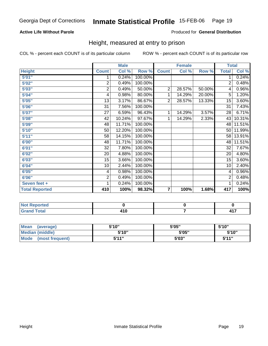### **Active Life Without Parole**

#### Produced for **General Distribution**

### Height, measured at entry to prison

|                       |                         | <b>Male</b> |         |                         | <b>Female</b> |        | <b>Total</b>    |        |
|-----------------------|-------------------------|-------------|---------|-------------------------|---------------|--------|-----------------|--------|
| <b>Height</b>         | <b>Count</b>            | Col %       | Row %   | <b>Count</b>            | Col %         | Row %  | <b>Total</b>    | Col %  |
| 5'01''                | 1                       | 0.24%       | 100.00% |                         |               |        | 1               | 0.24%  |
| 5'02"                 | $\overline{2}$          | 0.49%       | 100.00% |                         |               |        | $\overline{2}$  | 0.48%  |
| 5'03"                 | $\overline{\mathbf{c}}$ | 0.49%       | 50.00%  | $\overline{2}$          | 28.57%        | 50.00% | 4               | 0.96%  |
| 5'04"                 | 4                       | 0.98%       | 80.00%  | 1                       | 14.29%        | 20.00% | 5               | 1.20%  |
| 5'05"                 | 13                      | 3.17%       | 86.67%  | $\overline{2}$          | 28.57%        | 13.33% | 15              | 3.60%  |
| 5'06"                 | 31                      | 7.56%       | 100.00% |                         |               |        | $\overline{31}$ | 7.43%  |
| 5'07''                | 27                      | 6.59%       | 96.43%  | 1                       | 14.29%        | 3.57%  | 28              | 6.71%  |
| 5'08"                 | 42                      | 10.24%      | 97.67%  | 1                       | 14.29%        | 2.33%  | 43              | 10.31% |
| 5'09''                | 48                      | 11.71%      | 100.00% |                         |               |        | 48              | 11.51% |
| 5'10''                | 50                      | 12.20%      | 100.00% |                         |               |        | 50              | 11.99% |
| 5'11''                | 58                      | 14.15%      | 100.00% |                         |               |        | 58              | 13.91% |
| 6'00"                 | 48                      | 11.71%      | 100.00% |                         |               |        | 48              | 11.51% |
| 6'01"                 | 32                      | 7.80%       | 100.00% |                         |               |        | 32              | 7.67%  |
| 6'02"                 | 20                      | 4.88%       | 100.00% |                         |               |        | 20              | 4.80%  |
| 6'03"                 | 15                      | 3.66%       | 100.00% |                         |               |        | 15              | 3.60%  |
| 6'04"                 | 10                      | 2.44%       | 100.00% |                         |               |        | 10              | 2.40%  |
| 6'05"                 | 4                       | 0.98%       | 100.00% |                         |               |        | 4               | 0.96%  |
| 6'06"                 | 2                       | 0.49%       | 100.00% |                         |               |        | 2               | 0.48%  |
| Seven feet +          | 1                       | 0.24%       | 100.00% |                         |               |        | 1               | 0.24%  |
| <b>Total Reported</b> | 410                     | 100%        | 98.32%  | $\overline{\mathbf{r}}$ | 100%          | 1.68%  | 417             | 100%   |

| . Reportea<br>.             |        |        |
|-----------------------------|--------|--------|
| n <sup>t</sup>              | . .    | $AA =$ |
| $\sim$ $\sim$ $\sim$ $\sim$ | ______ |        |

| <b>Mean</b><br>(average) | 5'10" | 5'05" | 5'10"        |
|--------------------------|-------|-------|--------------|
| Median (middle)          | 5'10" | 5'05" | 5'10"        |
| Mode<br>(most frequent)  | 5'11" | 5'03" | <b>5'44"</b> |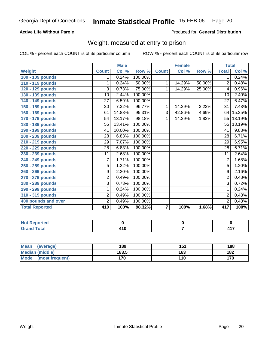### **Active Life Without Parole**

#### Produced for **General Distribution**

### Weight, measured at entry to prison

|                       |                 | <b>Male</b> |         |                         | <b>Female</b> |        | <b>Total</b>    |        |
|-----------------------|-----------------|-------------|---------|-------------------------|---------------|--------|-----------------|--------|
| <b>Weight</b>         | <b>Count</b>    | Col %       | Row %   | <b>Count</b>            | Col %         | Row %  | <b>Total</b>    | Col %  |
| 100 - 109 pounds      | 1               | 0.24%       | 100.00% |                         |               |        | 1               | 0.24%  |
| 110 - 119 pounds      | 1               | 0.24%       | 50.00%  | 1                       | 14.29%        | 50.00% | $\overline{2}$  | 0.48%  |
| 120 - 129 pounds      | 3               | 0.73%       | 75.00%  | 1                       | 14.29%        | 25.00% | 4               | 0.96%  |
| 130 - 139 pounds      | 10              | 2.44%       | 100.00% |                         |               |        | 10              | 2.40%  |
| 140 - 149 pounds      | 27              | 6.59%       | 100.00% |                         |               |        | $\overline{27}$ | 6.47%  |
| 150 - 159 pounds      | 30              | 7.32%       | 96.77%  | 1                       | 14.29%        | 3.23%  | 31              | 7.43%  |
| 160 - 169 pounds      | 61              | 14.88%      | 95.31%  | 3                       | 42.86%        | 4.69%  | 64              | 15.35% |
| 170 - 179 pounds      | 54              | 13.17%      | 98.18%  | 1                       | 14.29%        | 1.82%  | 55              | 13.19% |
| 180 - 189 pounds      | 55              | 13.41%      | 100.00% |                         |               |        | 55              | 13.19% |
| 190 - 199 pounds      | 41              | 10.00%      | 100.00% |                         |               |        | 41              | 9.83%  |
| 200 - 209 pounds      | 28              | 6.83%       | 100.00% |                         |               |        | 28              | 6.71%  |
| 210 - 219 pounds      | 29              | 7.07%       | 100.00% |                         |               |        | 29              | 6.95%  |
| 220 - 229 pounds      | 28              | 6.83%       | 100.00% |                         |               |        | $\overline{28}$ | 6.71%  |
| 230 - 239 pounds      | $\overline{11}$ | 2.68%       | 100.00% |                         |               |        | $\overline{11}$ | 2.64%  |
| 240 - 249 pounds      | 7               | 1.71%       | 100.00% |                         |               |        | 7               | 1.68%  |
| 250 - 259 pounds      | $\overline{5}$  | 1.22%       | 100.00% |                         |               |        | $\overline{5}$  | 1.20%  |
| 260 - 269 pounds      | 9               | 2.20%       | 100.00% |                         |               |        | 9               | 2.16%  |
| 270 - 279 pounds      | $\overline{2}$  | 0.49%       | 100.00% |                         |               |        | $\overline{2}$  | 0.48%  |
| 280 - 289 pounds      | $\overline{3}$  | 0.73%       | 100.00% |                         |               |        | $\overline{3}$  | 0.72%  |
| 290 - 299 pounds      | 1               | 0.24%       | 100.00% |                         |               |        | 1               | 0.24%  |
| 310 - 319 pounds      | $\overline{2}$  | 0.49%       | 100.00% |                         |               |        | $\overline{2}$  | 0.48%  |
| 400 pounds and over   | $\overline{2}$  | 0.49%       | 100.00% |                         |               |        | $\overline{2}$  | 0.48%  |
| <b>Total Reported</b> | 410             | 100%        | 98.32%  | $\overline{\mathbf{r}}$ | 100%          | 1.68%  | 417             | 100%   |

| <b>Reported</b>                  |     |                        |
|----------------------------------|-----|------------------------|
| <b>Total</b><br>. <del>.</del> . | 410 | $\rightarrow$<br>T I A |

| Mean<br>(average)              | 189   | 151 | 188 |
|--------------------------------|-------|-----|-----|
| <b>Median (middle)</b>         | 183.5 | 163 | 182 |
| <b>Mode</b><br>(most frequent) | 170   | 110 | 170 |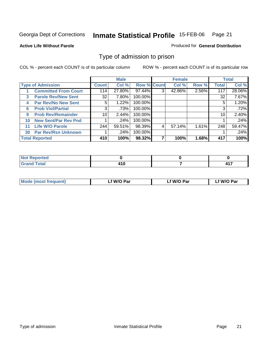#### **Active Life Without Parole**

#### Produced for **General Distribution**

### Type of admission to prison

|              |                             | <b>Male</b>     |        |                    | <b>Female</b> |        |       | <b>Total</b> |        |
|--------------|-----------------------------|-----------------|--------|--------------------|---------------|--------|-------|--------------|--------|
|              | <b>Type of Admission</b>    | Count           | Col %  | <b>Row % Count</b> |               | Col %  | Row % | <b>Total</b> | Col %  |
|              | <b>Committed From Court</b> | 114             | 27.80% | 97.44%             | 3             | 42.86% | 2.56% | 117          | 28.06% |
| $\mathbf{3}$ | <b>Parole Rev/New Sent</b>  | 32              | 7.80%  | 100.00%            |               |        |       | 32           | 7.67%  |
| 4            | <b>Par Rev/No New Sent</b>  | 5.              | 1.22%  | 100.00%            |               |        |       | 5            | 1.20%  |
| 6            | <b>Prob Viol/Partial</b>    | 3               | .73%   | 100.00%            |               |        |       | 3            | .72%   |
| 9            | <b>Prob Rev/Remainder</b>   | 10 <sup>1</sup> | 2.44%  | 100.00%            |               |        |       | 10           | 2.40%  |
| 10           | <b>New Sent/Par Rev Pnd</b> |                 | .24%   | 100.00%            |               |        |       |              | .24%   |
| 11           | <b>Life W/O Parole</b>      | 244             | 59.51% | 98.39%             | 4             | 57.14% | 1.61% | 248          | 59.47% |
| 30           | <b>Par Rev/Rsn Unknown</b>  |                 | .24%   | 100.00%            |               |        |       |              | .24%   |
|              | <b>Total Reported</b>       | 410             | 100%   | 98.32%             |               | 100%   | 1.68% | 417          | 100%   |

| rtea<br>.                            |       |                    |
|--------------------------------------|-------|--------------------|
| $f \wedge f \wedge f$<br>---<br>νιαι | . . u | 44 T<br>.<br>- - - |

| <b>Mode (most frequent)</b> | f W/O Par | ∟f W/O Par | f W/O Par |
|-----------------------------|-----------|------------|-----------|
|                             |           |            |           |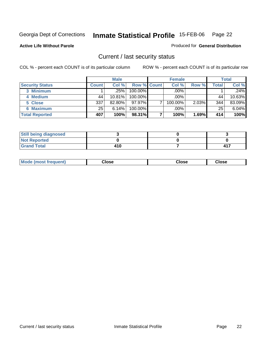#### **Active Life Without Parole**

#### Produced for **General Distribution**

### Current / last security status

|                        |              | <b>Male</b> |                    | <b>Female</b> |       |       | <b>Total</b> |
|------------------------|--------------|-------------|--------------------|---------------|-------|-------|--------------|
| <b>Security Status</b> | <b>Count</b> | Col %       | <b>Row % Count</b> | Col %         | Row % | Total | Col %        |
| 3 Minimum              |              | .25%        | $100.00\%$         | .00%          |       |       | .24%         |
| 4 Medium               | 44           | 10.81%      | $100.00\%$         | $.00\%$       |       | 44    | 10.63%       |
| 5 Close                | 337          | 82.80%      | 97.97%             | 100.00%       | 2.03% | 344   | 83.09%       |
| <b>6 Maximum</b>       | 25           | 6.14%       | 100.00%            | $.00\%$       |       | 25    | 6.04%        |
| <b>Total Reported</b>  | 407          | 100%        | 98.31%             | 100%          | 1.69% | 414   | 100%         |

| <b>Still being diagnosed</b> |     |           |
|------------------------------|-----|-----------|
| <b>Not Reported</b>          |     |           |
| <b>Grand Total</b>           | 410 | <b>41</b> |

| <b>Mode (most frequent)</b> | Close | Close | Close |
|-----------------------------|-------|-------|-------|
|-----------------------------|-------|-------|-------|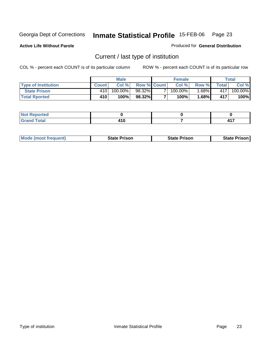**Active Life Without Parole** 

Produced for **General Distribution**

### Current / last type of institution

|                            | <b>Male</b>  |             |                    | <b>Female</b> |            |         | Total         |         |
|----------------------------|--------------|-------------|--------------------|---------------|------------|---------|---------------|---------|
| <b>Type of Institution</b> | <b>Count</b> | Col %       | <b>Row % Count</b> |               | Col %      | Row %   | $\tau$ otal i | Col %   |
| <b>State Prison</b>        | 410          | 100.00%     | 98.32%             |               | $100.00\%$ | .68% I  | 4171          | 100.00% |
| <b>Total Rported</b>       | <b>410</b>   | <b>100%</b> | 98.32%             |               | 100%       | $.68\%$ | 417           | 100%    |

| Not Reported |        |   |
|--------------|--------|---|
| _____        | $\sim$ | . |

|  | <b>Mode (most frequent)</b> | <b>State Prison</b> | <b>State Prison</b> | <b>State Prison</b> |
|--|-----------------------------|---------------------|---------------------|---------------------|
|--|-----------------------------|---------------------|---------------------|---------------------|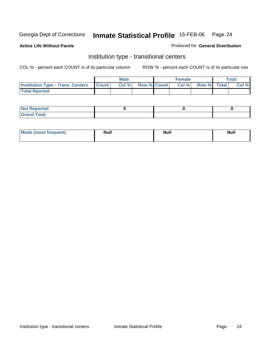**Active Life Without Parole** 

#### Produced for **General Distribution**

### Institution type - transitional centers

|                                          | Male         |       |                    | <b>Female</b> |      |             | Total |       |
|------------------------------------------|--------------|-------|--------------------|---------------|------|-------------|-------|-------|
| <b>Institution Type - Trans. Centers</b> | <b>Count</b> | Col % | <b>Row % Count</b> |               | Col% | Row % Total |       | Col % |
| <b>Total Rported</b>                     |              |       |                    |               |      |             |       |       |

| <b>Reported</b><br><b>NOT</b> |  |  |
|-------------------------------|--|--|
| <b>Total</b><br>$C$ ro'<br>_  |  |  |

| Mode (most frequent) | Null | <b>Null</b> | <b>Null</b> |
|----------------------|------|-------------|-------------|
|                      |      |             |             |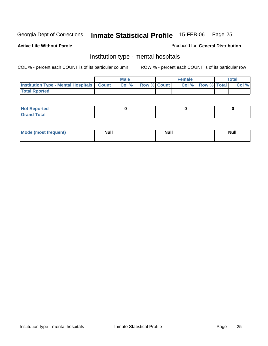### **Active Life Without Parole**

#### Produced for **General Distribution**

### Institution type - mental hospitals

|                                                  | <b>Male</b> |       |                    | <b>Female</b> |  |                          | Total |       |
|--------------------------------------------------|-------------|-------|--------------------|---------------|--|--------------------------|-------|-------|
| <b>Institution Type - Mental Hospitals Count</b> |             | Col % | <b>Row % Count</b> |               |  | <b>Col %</b> Row % Total |       | Col % |
| <b>Total Rported</b>                             |             |       |                    |               |  |                          |       |       |

| <b>Not Reported</b> |  |  |
|---------------------|--|--|
| <b>Total</b><br>r.  |  |  |

| Mode (most frequent) | <b>Null</b> | <b>Null</b> | <b>Null</b> |
|----------------------|-------------|-------------|-------------|
|                      |             |             |             |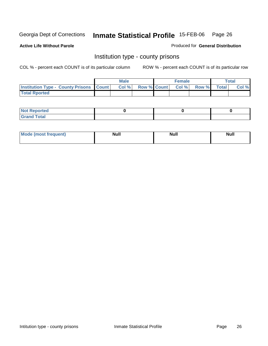**Active Life Without Parole** 

Produced for **General Distribution**

### Institution type - county prisons

|                                                    | <b>Male</b> |      |  | <b>Female</b> |                   |       | $\tau$ otal  |       |
|----------------------------------------------------|-------------|------|--|---------------|-------------------|-------|--------------|-------|
| <b>Institution Type - County Prisons   Count  </b> |             | CoI% |  |               | Row % Count Col % | Row % | <b>Total</b> | Col % |
| <b>Total Rported</b>                               |             |      |  |               |                   |       |              |       |

| <b>Not Reported</b> |  |  |
|---------------------|--|--|
| <b>Grand Total</b>  |  |  |

| <b>Mode</b><br>ost frequent) | <b>Null</b> | <b>Modl</b><br>'YUI. | <b>Null</b> |
|------------------------------|-------------|----------------------|-------------|
|                              |             |                      |             |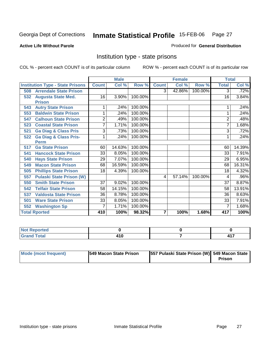#### **Active Life Without Parole**

#### Produced for **General Distribution**

### Institution type - state prisons

|                                         |                | <b>Male</b> |         |              | <b>Female</b> |         | <b>Total</b>   |         |
|-----------------------------------------|----------------|-------------|---------|--------------|---------------|---------|----------------|---------|
| <b>Institution Type - State Prisons</b> | <b>Count</b>   | Col %       | Row %   | <b>Count</b> | Col %         | Row %   | <b>Total</b>   | Col %   |
| <b>Arrendale State Prison</b><br>508    |                |             |         | 3            | 42.86%        | 100.00% | $\overline{3}$ | .72%    |
| <b>Augusta State Med.</b><br>532        | 16             | 3.90%       | 100.00% |              |               |         | 16             | 3.84%   |
| <b>Prison</b>                           |                |             |         |              |               |         |                |         |
| <b>Autry State Prison</b><br>543        | 1              | .24%        | 100.00% |              |               |         |                | .24%    |
| <b>Baldwin State Prison</b><br>553      | 1              | .24%        | 100.00% |              |               |         | 1              | .24%    |
| <b>Calhoun State Prison</b><br>547      | $\overline{2}$ | .49%        | 100.00% |              |               |         | $\overline{2}$ | .48%    |
| <b>Coastal State Prison</b><br>523      | 7              | 1.71%       | 100.00% |              |               |         | 7              | 1.68%   |
| <b>Ga Diag &amp; Class Pris</b><br>521  | 3              | .73%        | 100.00% |              |               |         | 3              | .72%    |
| <b>Ga Diag &amp; Class Pris-</b><br>522 |                | .24%        | 100.00% |              |               |         |                | .24%    |
| <b>Perm</b>                             |                |             |         |              |               |         |                |         |
| <b>Ga State Prison</b><br>517           | 60             | 14.63%      | 100.00% |              |               |         | 60             | 14.39%  |
| <b>Hancock State Prison</b><br>541      | 33             | 8.05%       | 100.00% |              |               |         | 33             | 7.91%   |
| <b>Hays State Prison</b><br>540         | 29             | 7.07%       | 100.00% |              |               |         | 29             | 6.95%   |
| <b>Macon State Prison</b><br>549        | 68             | 16.59%      | 100.00% |              |               |         | 68             | 16.31%  |
| <b>Phillips State Prison</b><br>505     | 18             | 4.39%       | 100.00% |              |               |         | 18             | 4.32%   |
| <b>Pulaski State Prison (W)</b><br>557  |                |             |         | 4            | 57.14%        | 100.00% | 4              | $.96\%$ |
| <b>Smith State Prison</b><br>550        | 37             | 9.02%       | 100.00% |              |               |         | 37             | 8.87%   |
| <b>Telfair State Prison</b><br>542      | 58             | 14.15%      | 100.00% |              |               |         | 58             | 13.91%  |
| <b>Valdosta State Prison</b><br>537     | 36             | 8.78%       | 100.00% |              |               |         | 36             | 8.63%   |
| <b>Ware State Prison</b><br>501         | 33             | 8.05%       | 100.00% |              |               |         | 33             | 7.91%   |
| <b>Washington Sp</b><br>552             | 7              | 1.71%       | 100.00% |              |               |         | 7              | 1.68%   |
| <b>Total Rported</b>                    | 410            | 100%        | 98.32%  | 7            | 100%          | 1.68%   | 417            | 100%    |

| NO1<br>prtea<br>. ∗∖cp•∶<br>$\sim$ |                                     |     |
|------------------------------------|-------------------------------------|-----|
| $T0$ in $T0$<br><b>CHAN</b>        | $\sim$ 4. $\sim$<br>7 I U<br>$\sim$ | 447 |

| Mode (most frequent) | <b>1549 Macon State Prison</b> | [557 Pulaski State Prison (W)] 549 Macon State |               |
|----------------------|--------------------------------|------------------------------------------------|---------------|
|                      |                                |                                                | <b>Prison</b> |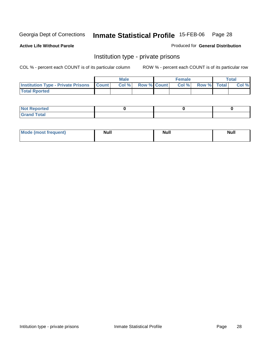### **Active Life Without Parole**

#### Produced for **General Distribution**

### Institution type - private prisons

|                                                     | <b>Male</b> |                    | <b>Female</b> |                    | <b>Total</b> |
|-----------------------------------------------------|-------------|--------------------|---------------|--------------------|--------------|
| <b>Institution Type - Private Prisons   Count  </b> | Col%        | <b>Row % Count</b> | Col %         | <b>Row %</b> Total | Col %        |
| <b>Total Rported</b>                                |             |                    |               |                    |              |

| <b>Not Reported</b>               |  |  |
|-----------------------------------|--|--|
| <b>Total</b><br>$C$ rar<br>$\sim$ |  |  |

| Mode (most frequent) | Null | <b>Null</b> | <b>Null</b> |
|----------------------|------|-------------|-------------|
|                      |      |             |             |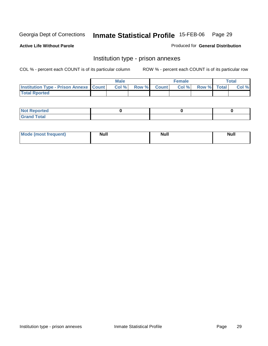**Active Life Without Parole** 

Produced for **General Distribution**

### Institution type - prison annexes

|                                                   | <b>Male</b> |             | <b>Female</b> |             | <b>Total</b> |
|---------------------------------------------------|-------------|-------------|---------------|-------------|--------------|
| <b>Institution Type - Prison Annexe   Count  </b> | Col %       | Row % Count | Col%          | Row % Total | Col %        |
| <b>Total Rported</b>                              |             |             |               |             |              |

| $N$ nt R<br>Reported         |  |  |
|------------------------------|--|--|
| <b>Total</b><br><b>Grano</b> |  |  |

| Mode (most frequent) | <b>Null</b> | <b>Null</b> | <b>Null</b> |
|----------------------|-------------|-------------|-------------|
|                      |             |             |             |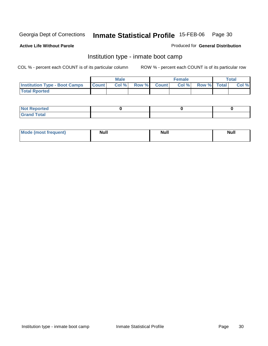**Active Life Without Parole** 

#### Produced for **General Distribution**

### Institution type - inmate boot camp

|                                      |              | <b>Male</b> |                    | Female |             | Total |
|--------------------------------------|--------------|-------------|--------------------|--------|-------------|-------|
| <b>Institution Type - Boot Camps</b> | <b>Count</b> | Col%        | <b>Row % Count</b> | Col %  | Row % Total | Col % |
| <b>Total Rported</b>                 |              |             |                    |        |             |       |

| <b>Not Reported</b>          |  |  |
|------------------------------|--|--|
| Tota <sup>l</sup><br>$C = C$ |  |  |

| <b>Mode (most frequent)</b> | <b>Null</b> | <b>Null</b> | <b>Null</b> |
|-----------------------------|-------------|-------------|-------------|
|                             |             |             |             |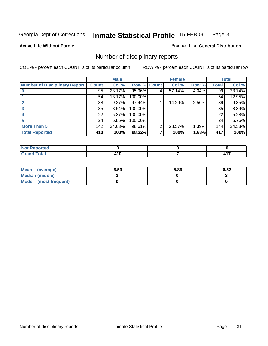#### **Active Life Without Parole**

#### Produced for **General Distribution**

### Number of disciplinary reports

|                                      |                 | <b>Male</b> |             |   | <b>Female</b> |          |       | <b>Total</b> |
|--------------------------------------|-----------------|-------------|-------------|---|---------------|----------|-------|--------------|
| <b>Number of Disciplinary Report</b> | <b>Count</b>    | Col %       | Row % Count |   | Col %         | Row %    | Total | Col %        |
|                                      | 95              | 23.17%      | 95.96%      | 4 | 57.14%        | $4.04\%$ | 99    | 23.74%       |
|                                      | 54              | 13.17%      | 100.00%     |   |               |          | 54    | 12.95%       |
|                                      | 38              | 9.27%       | 97.44%      |   | 14.29%        | 2.56%    | 39    | 9.35%        |
| 3                                    | 35 <sup>1</sup> | 8.54%       | 100.00%     |   |               |          | 35    | 8.39%        |
|                                      | 22              | 5.37%       | 100.00%     |   |               |          | 22    | 5.28%        |
| 5                                    | 24              | 5.85%       | 100.00%     |   |               |          | 24    | 5.76%        |
| <b>More Than 5</b>                   | 142             | 34.63%      | 98.61%      | 2 | 28.57%        | 1.39%    | 144   | 34.53%       |
| <b>Total Reported</b>                | 410             | 100%        | 98.32%      | 7 | 100%          | 1.68%    | 417   | 100%         |

| тео<br>N                           |       |   |
|------------------------------------|-------|---|
| $int^{\bullet}$                    | . .   | . |
| $\sim$ $\sim$ $\sim$ $\sim$ $\sim$ | 7 I V |   |

| Mean (average)       | 6.53 | 5.86 | 6.52 |
|----------------------|------|------|------|
| Median (middle)      |      |      |      |
| Mode (most frequent) |      |      |      |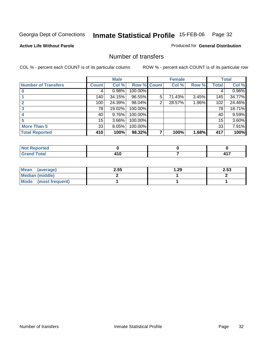#### **Active Life Without Parole**

### Produced for **General Distribution**

### Number of transfers

|                            |              | <b>Male</b> |             |   | <b>Female</b> |       |              | <b>Total</b> |
|----------------------------|--------------|-------------|-------------|---|---------------|-------|--------------|--------------|
| <b>Number of Transfers</b> | <b>Count</b> | Col %       | Row % Count |   | Col %         | Row % | <b>Total</b> | Col %        |
|                            |              | 0.98%       | 100.00%     |   |               |       | 4            | $0.96\%$     |
|                            | 140          | 34.15%      | 96.55%      | 5 | 71.43%        | 3.45% | 145          | 34.77%       |
|                            | 100          | 24.39%      | 98.04%      | 2 | 28.57%        | 1.96% | 102          | 24.46%       |
| 3                          | 78           | 19.02%      | 100.00%     |   |               |       | 78           | 18.71%       |
|                            | 40           | $9.76\%$    | 100.00%     |   |               |       | 40           | 9.59%        |
|                            | 15           | 3.66%       | 100.00%     |   |               |       | 15           | 3.60%        |
| <b>More Than 5</b>         | 33           | 8.05%       | 100.00%     |   |               |       | 33           | 7.91%        |
| <b>Total Reported</b>      | 410          | 100%        | 98.32%      | 7 | 100%          | 1.68% | 417          | 100%         |

| τeα<br>N                             |                  |  |
|--------------------------------------|------------------|--|
| - - -<br>$\sim$ $\sim$ $\sim$ $\sim$ | . .<br>. .<br>__ |  |

| Mean (average)       | 2.55 | 1.29 | 2.53 |
|----------------------|------|------|------|
| Median (middle)      |      |      |      |
| Mode (most frequent) |      |      |      |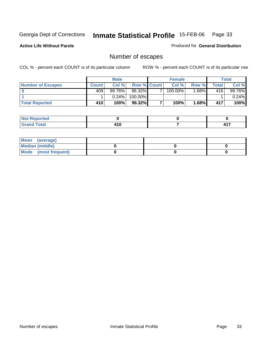### **Active Life Without Parole**

Produced for **General Distribution**

### Number of escapes

|                          | <b>Male</b>  |          |                    | <b>Female</b> |                       |         | Total |          |
|--------------------------|--------------|----------|--------------------|---------------|-----------------------|---------|-------|----------|
| <b>Number of Escapes</b> | <b>Count</b> | Col %    | <b>Row % Count</b> |               | Col %                 | Row %   | Total | Col %    |
|                          | 409'         | 99.76%   | 98.32%             | –             | $100.\overline{00\%}$ | $.68\%$ | 416   | 99.76%   |
|                          |              | $0.24\%$ | 100.00%            |               |                       |         |       | $0.24\%$ |
| <b>Total Reported</b>    | 410          | 100%     | 98.32%             |               | 100%                  | 1.68%   | 417   | 100%     |

| المتسقين للمناج<br>тео. |     |       |
|-------------------------|-----|-------|
| <b>Total</b>            |     | 1 A T |
| $\sim$                  | טוי | .     |

| Mean (average)         |  |  |
|------------------------|--|--|
| <b>Median (middle)</b> |  |  |
| Mode (most frequent)   |  |  |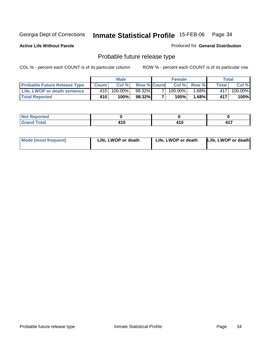**Active Life Without Parole** 

Produced for **General Distribution**

### Probable future release type

|                                     | <b>Male</b>  |         |                    | <b>Female</b> |         |        | Total   |         |
|-------------------------------------|--------------|---------|--------------------|---------------|---------|--------|---------|---------|
| <b>Probable Future Release Type</b> | <b>Count</b> | Col %   | <b>Row % Count</b> |               | Col%    | Row %  | Total i | Col %   |
| <b>Life, LWOP or death sentence</b> | 410          | 100.00% | 98.32%             |               | 100.00% | 1.68%∎ | 4171    | 100.00% |
| <b>Total Reported</b>               | 410          | 100%    | 98.32%             |               | 100%    | 1.68%  | 417     | 100%    |

| <b>Not Reported</b> |       |   |     |
|---------------------|-------|---|-----|
| <b>fotal</b>        | 1 I V | . | .   |
| <b>Grand</b>        |       | . | . . |

| <b>Mode (most frequent)</b> | Life, LWOP or death | Life, LWOP or death | Life, LWOP or death |
|-----------------------------|---------------------|---------------------|---------------------|
|-----------------------------|---------------------|---------------------|---------------------|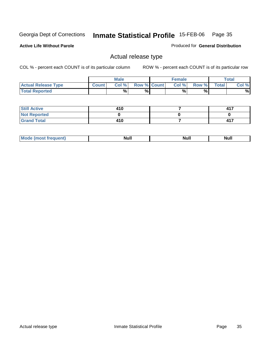**Active Life Without Parole** 

Produced for **General Distribution**

### Actual release type

|                            |              | <b>Male</b> |                    | <b>Female</b> |       |              | Total |
|----------------------------|--------------|-------------|--------------------|---------------|-------|--------------|-------|
| <b>Actual Release Type</b> | <b>Count</b> | Col %       | <b>Row % Count</b> | Col %1        | Row % | <b>Total</b> | Col % |
| <b>Total Reported</b>      |              | %           | %                  | %             | %     |              | %     |

| <b>Still Active</b> | 410 | 417 |
|---------------------|-----|-----|
| <b>Not Reported</b> |     |     |
| <b>Grand Total</b>  | 410 | 417 |

| .<br>,,,,,<br>. | лĽ |  |
|-----------------|----|--|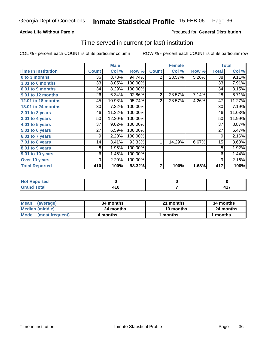### **Active Life Without Parole**

#### Produced for **General Distribution**

### Time served in current (or last) institution

|                            |              | <b>Male</b> |         |                | <b>Female</b> |       |                 | <b>Total</b> |
|----------------------------|--------------|-------------|---------|----------------|---------------|-------|-----------------|--------------|
| <b>Time In Institution</b> | <b>Count</b> | Col %       | Row %   | <b>Count</b>   | Col %         | Row % | <b>Total</b>    | Col %        |
| 0 to 3 months              | 36           | 8.78%       | 94.74%  | $\overline{2}$ | 28.57%        | 5.26% | $\overline{38}$ | 9.11%        |
| 3.01 to 6 months           | 33           | 8.05%       | 100.00% |                |               |       | 33              | 7.91%        |
| 6.01 to 9 months           | 34           | 8.29%       | 100.00% |                |               |       | 34              | 8.15%        |
| 9.01 to 12 months          | 26           | 6.34%       | 92.86%  | $\overline{2}$ | 28.57%        | 7.14% | 28              | 6.71%        |
| 12.01 to 18 months         | 45           | 10.98%      | 95.74%  | $\overline{2}$ | 28.57%        | 4.26% | $\overline{4}$  | 11.27%       |
| 18.01 to 24 months         | 30           | 7.32%       | 100.00% |                |               |       | 30              | 7.19%        |
| 2.01 to 3 years            | 46           | 11.22%      | 100.00% |                |               |       | 46              | 11.03%       |
| 3.01 to 4 years            | 50           | 12.20%      | 100.00% |                |               |       | 50              | 11.99%       |
| 4.01 to 5 years            | 37           | 9.02%       | 100.00% |                |               |       | 37              | 8.87%        |
| 5.01 to 6 years            | 27           | 6.59%       | 100.00% |                |               |       | 27              | 6.47%        |
| 6.01 to 7 years            | 9            | 2.20%       | 100.00% |                |               |       | 9               | 2.16%        |
| 7.01 to 8 years            | 14           | 3.41%       | 93.33%  | 1              | 14.29%        | 6.67% | 15              | 3.60%        |
| 8.01 to 9 years            | 8            | 1.95%       | 100.00% |                |               |       | 8               | 1.92%        |
| 9.01 to 10 years           | 6            | 1.46%       | 100.00% |                |               |       | 6               | 1.44%        |
| Over 10 years              | 9            | 2.20%       | 100.00% |                |               |       | 9               | 2.16%        |
| <b>Total Reported</b>      | 410          | 100%        | 98.32%  | 7              | 100%          | 1.68% | 417             | 100%         |

| <b>Not Reported</b> |     |   |
|---------------------|-----|---|
| $f$ ota!            | 410 | . |

| <b>Mean</b><br>(average) | 34 months | 21 months | 34 months |  |
|--------------------------|-----------|-----------|-----------|--|
| Median (middle)          | 24 months | 10 months | 24 months |  |
| Mode (most frequent)     | 4 months  | l months  | 1 months  |  |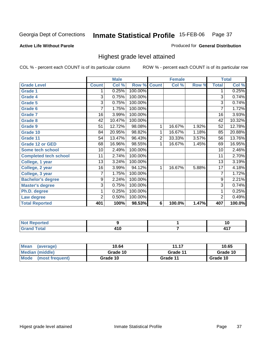### **Active Life Without Parole**

#### Produced for **General Distribution**

### Highest grade level attained

|                              |              | <b>Male</b> |         |                | <b>Female</b> |       |                 | <b>Total</b>         |
|------------------------------|--------------|-------------|---------|----------------|---------------|-------|-----------------|----------------------|
| <b>Grade Level</b>           | <b>Count</b> | Col %       | Row %   | <b>Count</b>   | Col %         | Row % | <b>Total</b>    | Col %                |
| <b>Grade 1</b>               | 1            | 0.25%       | 100.00% |                |               |       | 1               | 0.25%                |
| <b>Grade 4</b>               | 3            | 0.75%       | 100.00% |                |               |       | $\overline{3}$  | 0.74%                |
| Grade 5                      | 3            | 0.75%       | 100.00% |                |               |       | 3               | 0.74%                |
| Grade 6                      | 7            | 1.75%       | 100.00% |                |               |       | $\overline{7}$  | 1.72%                |
| <b>Grade 7</b>               | 16           | 3.99%       | 100.00% |                |               |       | $\overline{16}$ | 3.93%                |
| <b>Grade 8</b>               | 42           | 10.47%      | 100.00% |                |               |       | 42              | 10.32%               |
| <b>Grade 9</b>               | 51           | 12.72%      | 98.08%  | 1              | 16.67%        | 1.92% | 52              | 12.78%               |
| Grade 10                     | 84           | 20.95%      | 98.82%  | 1              | 16.67%        | 1.18% | 85              | 20.88%               |
| Grade 11                     | 54           | 13.47%      | 96.43%  | $\overline{c}$ | 33.33%        | 3.57% | 56              | 13.76%               |
| <b>Grade 12 or GED</b>       | 68           | 16.96%      | 98.55%  | 1              | 16.67%        | 1.45% | 69              | 16.95%               |
| <b>Some tech school</b>      | 10           | 2.49%       | 100.00% |                |               |       | 10              | 2.46%                |
| <b>Completed tech school</b> | 11           | 2.74%       | 100.00% |                |               |       | 11              | 2.70%                |
| College, 1 year              | 13           | 3.24%       | 100.00% |                |               |       | 13              | 3.19%                |
| College, 2 year              | 16           | 3.99%       | 94.12%  | 1              | 16.67%        | 5.88% | $\overline{17}$ | 4.18%                |
| College, 3 year              | 7            | 1.75%       | 100.00% |                |               |       | 7               | 1.72%                |
| <b>Bachelor's degree</b>     | 9            | 2.24%       | 100.00% |                |               |       | 9               | 2.21%                |
| <b>Master's degree</b>       | 3            | 0.75%       | 100.00% |                |               |       | 3               | 0.74%                |
| Ph.D. degree                 | 1            | 0.25%       | 100.00% |                |               |       | 1               | 0.25%                |
| Law degree                   | 2            | 0.50%       | 100.00% |                |               |       | $\overline{c}$  | 0.49%                |
| <b>Total Reported</b>        | 401          | 100%        | 98.53%  | 6              | 100.0%        | 1.47% | 407             | $\overline{100.0\%}$ |

| the contract and state<br>rtea<br>NO<br>.            |                |   |
|------------------------------------------------------|----------------|---|
| $T \wedge t \wedge$<br>Cro<br><b>TOLAI</b><br>$\sim$ | 1 A C<br>- 1 V | . |

| Mean<br>(average)       | 10.64    | 11.17    | 10.65    |
|-------------------------|----------|----------|----------|
| <b>Median (middle)</b>  | Grade 10 | Grade 11 | Grade 10 |
| Mode<br>(most frequent) | Grade 10 | Grade 11 | Grade 10 |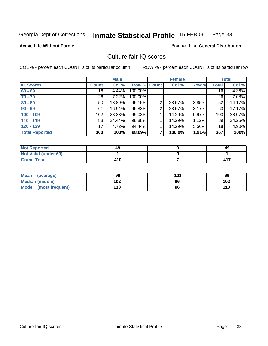### **Active Life Without Parole**

#### Produced for **General Distribution**

### Culture fair IQ scores

|                       |       | <b>Male</b> |             |                | <b>Female</b> |       |              | <b>Total</b> |
|-----------------------|-------|-------------|-------------|----------------|---------------|-------|--------------|--------------|
| <b>IQ Scores</b>      | Count | Col %       | Row % Count |                | Col %         | Row % | <b>Total</b> | Col %        |
| $60 - 69$             | 16    | 4.44%       | 100.00%     |                |               |       | 16           | 4.36%        |
| $70 - 79$             | 26    | 7.22%       | 100.00%     |                |               |       | 26           | 7.08%        |
| $80 - 89$             | 50    | 13.89%      | 96.15%      | 2              | 28.57%        | 3.85% | 52           | 14.17%       |
| $90 - 99$             | 61    | 16.94%      | 96.83%      | $\overline{2}$ | 28.57%        | 3.17% | 63           | 17.17%       |
| $100 - 109$           | 102   | 28.33%      | 99.03%      |                | 14.29%        | 0.97% | 103          | 28.07%       |
| $110 - 119$           | 88    | 24.44%      | 98.88%      |                | 14.29%        | 1.12% | 89           | 24.25%       |
| $120 - 129$           | 17    | 4.72%       | 94.44%      |                | 14.29%        | 5.56% | 18           | 4.90%        |
| <b>Total Reported</b> | 360   | 100%        | 98.09%      | 7              | 100.0%        | 1.91% | 367          | 100%         |

| <b>Not Reported</b>         | 49  | 49  |
|-----------------------------|-----|-----|
| <b>Not Valid (under 60)</b> |     |     |
| <b>Grand Total</b>          | 410 | 417 |

| Mean (average)         | 99  | 101 | 99  |
|------------------------|-----|-----|-----|
| <b>Median (middle)</b> | 102 | 96  | 102 |
| Mode (most frequent)   | 110 | 96  | 110 |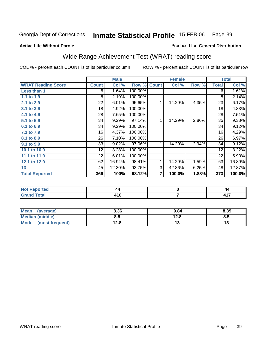#### **Active Life Without Parole**

#### Produced for **General Distribution**

# Wide Range Achievement Test (WRAT) reading score

|                                   |                 | <b>Male</b>   |         |                | <b>Female</b> |       |              | <b>Total</b>  |
|-----------------------------------|-----------------|---------------|---------|----------------|---------------|-------|--------------|---------------|
| <b>WRAT Reading Score</b>         | <b>Count</b>    | Col %         | Row %   | <b>Count</b>   | Col %         | Row % | <b>Total</b> | Col %         |
| Less than 1                       | 6               | 1.64%         | 100.00% |                |               |       | 6            | 1.61%         |
| 1.1 to 1.9                        | 8               | 2.19%         | 100.00% |                |               |       | 8            | 2.14%         |
| 2.1 to 2.9                        | 22              | 6.01%         | 95.65%  | 1              | 14.29%        | 4.35% | 23           | 6.17%         |
| 3.1 to 3.9                        | 18              | 4.92%         | 100.00% |                |               |       | 18           | 4.83%         |
| 4.1 to 4.9                        | 28              | 7.65%         | 100.00% |                |               |       | 28           | 7.51%         |
| 5.1 to 5.9                        | 34              | 9.29%         | 97.14%  | 1              | 14.29%        | 2.86% | 35           | 9.38%         |
| 6.1 to 6.9                        | 34              | 9.29%         | 100.00% |                |               |       | 34           | 9.12%         |
| 7.1 to 7.9                        | 16              | 4.37%         | 100.00% |                |               |       | 16           | 4.29%         |
| 8.1 to 8.9                        | 26              | 7.10%         | 100.00% |                |               |       | 26           | 6.97%         |
| 9.1 to 9.9                        | 33              | 9.02%         | 97.06%  | 1              | 14.29%        | 2.94% | 34           | 9.12%         |
| 10.1 to 10.9                      | 12 <sub>2</sub> | 3.28%         | 100.00% |                |               |       | 12           | 3.22%         |
| 11.1 to 11.9                      | 22              | 6.01%         | 100.00% |                |               |       | 22           | 5.90%         |
| 12.1 to 12.9                      | 62              | 16.94%        | 98.41%  | 1              | 14.29%        | 1.59% | 63           | 16.89%        |
| 13                                | 45              | 12.30%        | 93.75%  | 3              | 42.86%        | 6.25% | 48           | 12.87%        |
| <b>Total Reported</b>             | 366             | 100%          | 98.12%  | $\overline{7}$ | 100.0%        | 1.88% | 373          | 100.0%        |
|                                   |                 |               |         |                |               |       |              |               |
| <b>Contract Contract Contract</b> |                 | $\sim$ $\sim$ |         |                |               |       |              | $\sim$ $\sim$ |

| ⊿πeu<br>$\cdots$ | 44 | 44     |
|------------------|----|--------|
| Grand Total      | .  | .<br>. |
|                  |    |        |

| Mean<br>(average)       | 8.36 | 9.84 | 8.39 |
|-------------------------|------|------|------|
| <b>Median (middle)</b>  | 8.5  | 12.8 | ช.ว  |
| Mode<br>(most frequent) | 12.8 | יי   | ויי  |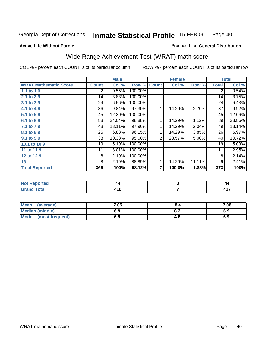**Active Life Without Parole** 

#### Produced for **General Distribution**

# Wide Range Achievement Test (WRAT) math score

|                              |                | <b>Male</b> |         |                | <b>Female</b> |        |              | <b>Total</b> |
|------------------------------|----------------|-------------|---------|----------------|---------------|--------|--------------|--------------|
| <b>WRAT Mathematic Score</b> | <b>Count</b>   | Col %       | Row %   | <b>Count</b>   | Col %         | Row %  | <b>Total</b> | Col %        |
| 1.1 to 1.9                   | $\overline{2}$ | 0.55%       | 100.00% |                |               |        | 2            | 0.54%        |
| 2.1 to 2.9                   | 14             | 3.83%       | 100.00% |                |               |        | 14           | 3.75%        |
| 3.1 to 3.9                   | 24             | 6.56%       | 100.00% |                |               |        | 24           | 6.43%        |
| 4.1 to 4.9                   | 36             | 9.84%       | 97.30%  |                | 14.29%        | 2.70%  | 37           | 9.92%        |
| 5.1 to 5.9                   | 45             | 12.30%      | 100.00% |                |               |        | 45           | 12.06%       |
| 6.1 to 6.9                   | 88             | 24.04%      | 98.88%  | 1              | 14.29%        | 1.12%  | 89           | 23.86%       |
| 7.1 to 7.9                   | 48             | 13.11%      | 97.96%  |                | 14.29%        | 2.04%  | 49           | 13.14%       |
| 8.1 to 8.9                   | 25             | 6.83%       | 96.15%  | 1              | 14.29%        | 3.85%  | 26           | 6.97%        |
| 9.1 to 9.9                   | 38             | 10.38%      | 95.00%  | 2              | 28.57%        | 5.00%  | 40           | 10.72%       |
| 10.1 to 10.9                 | 19             | 5.19%       | 100.00% |                |               |        | 19           | 5.09%        |
| 11 to 11.9                   | 11             | 3.01%       | 100.00% |                |               |        | 11           | 2.95%        |
| 12 to 12.9                   | 8              | 2.19%       | 100.00% |                |               |        | 8            | 2.14%        |
| 13                           | 8              | 2.19%       | 88.89%  | 1              | 14.29%        | 11.11% | 9            | 2.41%        |
| <b>Total Reported</b>        | 366            | 100%        | 98.12%  | $\overline{7}$ | 100.0%        | 1.88%  | 373          | 100%         |

| a matematica<br>теа<br>Nt   | 44       | 44 |
|-----------------------------|----------|----|
| $T$ ofol $T$<br>υιαι<br>--- | .<br>--- | .  |

| Mean<br>(average)       | 7.05 | ŏ.4 | 7.08 |
|-------------------------|------|-----|------|
| <b>Median (middle)</b>  | 6.9  | o.z | 6.9  |
| Mode<br>(most frequent) | 6.9  | 4.C | 6.9  |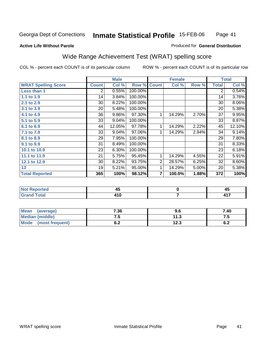### **Active Life Without Parole**

#### Produced for **General Distribution**

# Wide Range Achievement Test (WRAT) spelling score

|                            |                | <b>Male</b> |         |                    | <b>Female</b> |       |              | <b>Total</b> |
|----------------------------|----------------|-------------|---------|--------------------|---------------|-------|--------------|--------------|
| <b>WRAT Spelling Score</b> | <b>Count</b>   | Col %       |         | <b>Row % Count</b> | Col %         | Row % | <b>Total</b> | Col %        |
| Less than 1                | $\overline{2}$ | 0.55%       | 100.00% |                    |               |       | 2            | 0.54%        |
| 1.1 to 1.9                 | 14             | 3.84%       | 100.00% |                    |               |       | 14           | 3.76%        |
| 2.1 to 2.9                 | 30             | 8.22%       | 100.00% |                    |               |       | 30           | 8.06%        |
| 3.1 to 3.9                 | 20             | 5.48%       | 100.00% |                    |               |       | 20           | 5.38%        |
| 4.1 to 4.9                 | 36             | 9.86%       | 97.30%  | 1                  | 14.29%        | 2.70% | 37           | 9.95%        |
| 5.1 to 5.9                 | 33             | 9.04%       | 100.00% |                    |               |       | 33           | 8.87%        |
| 6.1 to 6.9                 | 44             | 12.05%      | 97.78%  | 1                  | 14.29%        | 2.22% | 45           | 12.10%       |
| 7.1 to 7.9                 | 33             | 9.04%       | 97.06%  | 1                  | 14.29%        | 2.94% | 34           | 9.14%        |
| 8.1 to 8.9                 | 29             | 7.95%       | 100.00% |                    |               |       | 29           | 7.80%        |
| 9.1 to 9.9                 | 31             | 8.49%       | 100.00% |                    |               |       | 31           | 8.33%        |
| 10.1 to 10.9               | 23             | 6.30%       | 100.00% |                    |               |       | 23           | 6.18%        |
| 11.1 to 11.9               | 21             | 5.75%       | 95.45%  | 1                  | 14.29%        | 4.55% | 22           | 5.91%        |
| 12.1 to 12.9               | 30             | 8.22%       | 93.75%  | $\overline{2}$     | 28.57%        | 6.25% | 32           | 8.60%        |
| 13                         | 19             | 5.21%       | 95.00%  | 1                  | 14.29%        | 5.00% | 20           | 5.38%        |
| <b>Total Reported</b>      | 365            | 100%        | 98.12%  | 7                  | 100.0%        | 1.88% | 372          | 100%         |
|                            |                |             |         |                    |               |       |              |              |
| Not Poportod               |                | <b>AR</b>   |         |                    | n             |       |              | <b>AR</b>    |

| $\overline{\phantom{a}}$<br>$f \wedge f \wedge f$<br><b>U</b> ldilu Tuldi<br>. . u | . |
|------------------------------------------------------------------------------------|---|

| Mean<br>(average)      | 7.36       | 9.6  | 7.40       |
|------------------------|------------|------|------------|
| <b>Median (middle)</b> | ن. ا       | 11.3 | . . J      |
| Mode (most frequent)   | . .<br>υ.Ζ | 12.3 | r n<br>0.Z |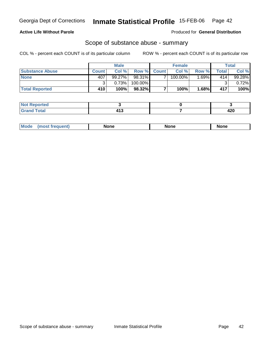### **Active Life Without Parole**

Produced for **General Distribution**

### Scope of substance abuse - summary

|                        |              | <b>Male</b> |           |                    | <b>Female</b> |       |       | Total    |
|------------------------|--------------|-------------|-----------|--------------------|---------------|-------|-------|----------|
| <b>Substance Abuse</b> | <b>Count</b> | Col %       |           | <b>Row % Count</b> | Col %         | Row % | Total | Col %    |
| <b>None</b>            | 407          | $99.27\%$   | $98.31\%$ |                    | 100.00%       | .69%  | 414   | 99.28%   |
|                        |              | 0.73%       | 100.00%   |                    |               |       |       | $0.72\%$ |
| <b>Total Reported</b>  | 410          | 100%        | 98.32%    |                    | 100%          | 1.68% | 417   | 100%     |

| <b>Reported</b> |     |            |
|-----------------|-----|------------|
| <b>Total</b>    | - - | חרו<br>−∠∪ |

|  | Mode | lone | None | <b>None</b> |
|--|------|------|------|-------------|
|--|------|------|------|-------------|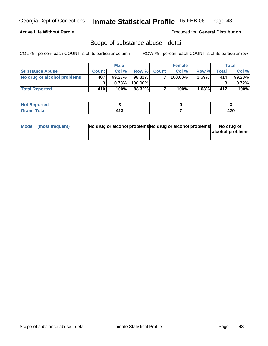### **Active Life Without Parole**

Produced for **General Distribution**

### Scope of substance abuse - detail

|                             |              | <b>Male</b> |          |             | <b>Female</b> |         |       | Total    |
|-----------------------------|--------------|-------------|----------|-------------|---------------|---------|-------|----------|
| <b>Substance Abuse</b>      | <b>Count</b> | Col%        |          | Row % Count | Col%          | Row %   | Total | Col %    |
| No drug or alcohol problems | 407          | $99.27\%$   | 98.31% I |             | $100.00\%$    | l.69% I | 414   | 99.28%   |
|                             |              | 0.73%       | 100.00%  |             |               |         | ົ     | $0.72\%$ |
| <b>Total Reported</b>       | 410          | 100%        | 98.32%   |             | 100%          | 1.68%   | 417   | 100%     |

| Not <sup>1</sup><br><b>Reported</b> |     |             |
|-------------------------------------|-----|-------------|
| <b>Total</b><br><b>Grand</b>        | - - | חהו<br>44 U |

| Mode (most frequent) | No drug or alcohol problems No drug or alcohol problems | No drug or       |
|----------------------|---------------------------------------------------------|------------------|
|                      |                                                         | alcohol problems |
|                      |                                                         |                  |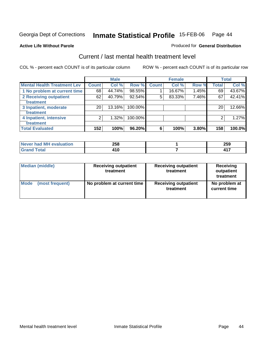#### **Active Life Without Parole**

#### Produced for **General Distribution**

### Current / last mental health treatment level

|                                    |                 | <b>Male</b> |         |              | <b>Female</b> |       |              | <b>Total</b> |
|------------------------------------|-----------------|-------------|---------|--------------|---------------|-------|--------------|--------------|
| <b>Mental Health Treatment Lev</b> | <b>Count</b>    | Col %       | Row %   | <b>Count</b> | Col %         | Row % | <b>Total</b> | Col %        |
| 1 No problem at current time       | 68              | 44.74%      | 98.55%  |              | 16.67%        | 1.45% | 69           | 43.67%       |
| 2 Receiving outpatient             | 62              | 40.79%      | 92.54%  | 5            | 83.33%        | 7.46% | 67           | 42.41%       |
| treatment                          |                 |             |         |              |               |       |              |              |
| 3 Inpatient, moderate              | 20 <sub>1</sub> | 13.16%      | 100.00% |              |               |       | 20           | 12.66%       |
| treatment                          |                 |             |         |              |               |       |              |              |
| 4 Inpatient, intensive             | 2               | 1.32%       | 100.00% |              |               |       | 2            | 1.27%        |
| treatment                          |                 |             |         |              |               |       |              |              |
| <b>Total Evaluated</b>             | 152             | 100%        | 96.20%  | 6            | 100%          | 3.80% | 158          | 100.0%       |

| Never had MH evaluation | 258       | 259 |
|-------------------------|-----------|-----|
| Гоtal                   | <b>10</b> |     |

| <b>Median (middle)</b> | <b>Receiving outpatient</b><br>treatment | <b>Receiving outpatient</b><br>treatment | <b>Receiving</b><br>outpatient<br>treatment |
|------------------------|------------------------------------------|------------------------------------------|---------------------------------------------|
| Mode                   | No problem at current time               | <b>Receiving outpatient</b>              | No problem at                               |
| (most frequent)        |                                          | treatment                                | current time                                |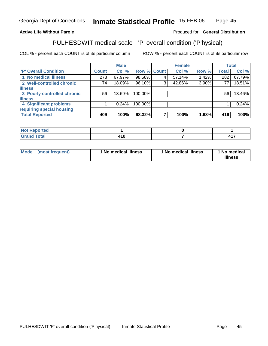### **Active Life Without Parole**

#### Produced for **General Distribution**

# PULHESDWIT medical scale - 'P' overall condition ('P'hysical)

|                             |              | <b>Male</b> |         |             | <b>Female</b> |       |              | <b>Total</b> |
|-----------------------------|--------------|-------------|---------|-------------|---------------|-------|--------------|--------------|
| 'P' Overall Condition       | <b>Count</b> | Col %       |         | Row % Count | Col %         | Row % | <b>Total</b> | Col %        |
| 1 No medical illness        | 278          | 67.97%      | 98.58%  |             | 57.14%        | 1.42% | 282          | 67.79%       |
| 2 Well-controlled chronic   | 74           | 18.09%      | 96.10%  | ົ           | 42.86%        | 3.90% | 77           | 18.51%       |
| <b>illness</b>              |              |             |         |             |               |       |              |              |
| 3 Poorly-controlled chronic | 56           | 13.69%      | 100.00% |             |               |       | 56           | 13.46%       |
| <b>illness</b>              |              |             |         |             |               |       |              |              |
| 4 Significant problems      |              | 0.24%       | 100.00% |             |               |       |              | 0.24%        |
| requiring special housing   |              |             |         |             |               |       |              |              |
| <b>Total Reported</b>       | 409          | 100%        | 98.32%  |             | 100%          | 1.68% | 416          | 100%l        |

| N <sub>O</sub><br><b><i>Continued States</i></b><br>rtea<br>,,,,,,,<br> |  |                       |
|-------------------------------------------------------------------------|--|-----------------------|
| <b>Total</b><br><b>UIULU</b>                                            |  | .<br>,,<br><b>TI.</b> |

| Mode | (most frequent) | 1 No medical illness | <sup>1</sup> No medical illness | 1 No medical<br>illness |
|------|-----------------|----------------------|---------------------------------|-------------------------|
|------|-----------------|----------------------|---------------------------------|-------------------------|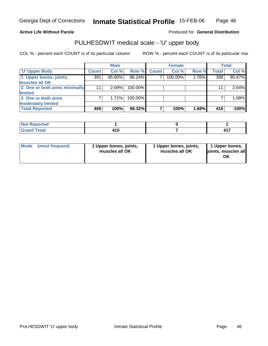#### **Active Life Without Parole**

Produced for **General Distribution**

### PULHESDWIT medical scale - 'U' upper body

|                              |              | <b>Male</b> |         |              | <b>Female</b> |       |              | <b>Total</b> |
|------------------------------|--------------|-------------|---------|--------------|---------------|-------|--------------|--------------|
| <b>U' Upper Body</b>         | <b>Count</b> | Col %       | Row %   | <b>Count</b> | Col %         | Row % | <b>Total</b> | Col %        |
| 1 Upper bones, joints,       | 391          | 95.60%      | 98.24%  |              | 100.00%       | 1.76% | 398          | 95.67%       |
| muscles all OK               |              |             |         |              |               |       |              |              |
| 2 One or both arms minimally | 11           | $2.69\%$    | 100.00% |              |               |       | 11           | 2.64%        |
| limited                      |              |             |         |              |               |       |              |              |
| 3 One or both arms           |              | 1.71%       | 100.00% |              |               |       |              | 1.68%        |
| moderately limited           |              |             |         |              |               |       |              |              |
| <b>Total Reported</b>        | 409          | 100%        | 98.32%  |              | 100%          | 1.68% | 416          | 100%         |

| <b>Not Reported</b> |       |  |
|---------------------|-------|--|
| <b>Grand Total</b>  | 2 I V |  |

| <b>Mode</b> | (most frequent) | 1 Upper bones, joints,<br>muscles all OK | 1 Upper bones, joints,<br>muscles all OK | 1 Upper bones,<br>ljoints, muscles all |
|-------------|-----------------|------------------------------------------|------------------------------------------|----------------------------------------|
|-------------|-----------------|------------------------------------------|------------------------------------------|----------------------------------------|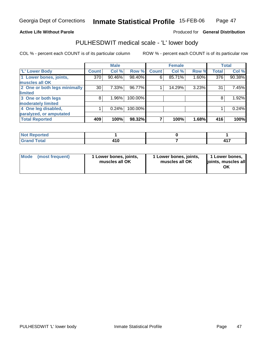#### **Active Life Without Parole**

#### Produced for **General Distribution**

### PULHESDWIT medical scale - 'L' lower body

|                              |              | <b>Male</b> |         |              | <b>Female</b> |       |              | <b>Total</b> |
|------------------------------|--------------|-------------|---------|--------------|---------------|-------|--------------|--------------|
| 'L' Lower Body               | <b>Count</b> | Col %       | Row %   | <b>Count</b> | Col %         | Row % | <b>Total</b> | Col %        |
| 1 Lower bones, joints,       | 370          | 90.46%      | 98.40%  | 6            | 85.71%        | 1.60% | 376          | 90.38%       |
| muscles all OK               |              |             |         |              |               |       |              |              |
| 2 One or both legs minimally | 30           | 7.33%       | 96.77%  |              | 14.29%        | 3.23% | 31           | 7.45%        |
| limited                      |              |             |         |              |               |       |              |              |
| 3 One or both legs           | 8            | 1.96%       | 100.00% |              |               |       | 8            | 1.92%        |
| moderately limited           |              |             |         |              |               |       |              |              |
| 4 One leg disabled,          |              | 0.24%       | 100.00% |              |               |       |              | 0.24%        |
| paralyzed, or amputated      |              |             |         |              |               |       |              |              |
| <b>Total Reported</b>        | 409          | 100%        | 98.32%  |              | 100%          | 1.68% | 416          | 100%         |

| <b>Not Reported</b> |       |  |
|---------------------|-------|--|
| <b>Grand Total</b>  | . . u |  |

| l Mode | (most frequent) | 1 Lower bones, joints,<br>muscles all OK | 1 Lower bones, joints,<br>muscles all OK | 1 Lower bones,<br>joints, muscles all<br>ΟK |
|--------|-----------------|------------------------------------------|------------------------------------------|---------------------------------------------|
|--------|-----------------|------------------------------------------|------------------------------------------|---------------------------------------------|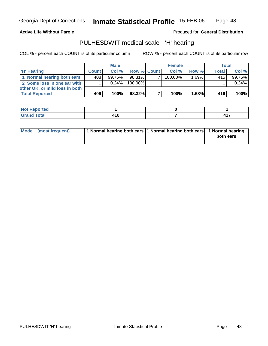#### **Active Life Without Parole**

Produced for **General Distribution**

### PULHESDWIT medical scale - 'H' hearing

|                                |       | <b>Male</b> |                    | <b>Female</b> |                     | <b>Total</b> |         |
|--------------------------------|-------|-------------|--------------------|---------------|---------------------|--------------|---------|
| 'H' Hearing                    | Count | Col%        | <b>Row % Count</b> | Col%          | Row %               | <b>Total</b> | Col %   |
| 1 Normal hearing both ears     | 408   | 99.76%      | 98.31%             | 100.00%       | $1.\overline{69\%}$ | 415          | 99.76%  |
| 2 Some loss in one ear with    |       | $0.24\%$    | 100.00%            |               |                     |              | 0.24%   |
| other OK, or mild loss in both |       |             |                    |               |                     |              |         |
| <b>Total Reported</b>          | 409   | 100%        | 98.32%             | 100%          | 1.68%               | 416          | $100\%$ |

| <b>rted</b><br>N |    |   |
|------------------|----|---|
| <i>i</i> otal    |    | . |
|                  | __ | . |

| Mode (most frequent) | 1 Normal hearing both ears 1 Normal hearing both ears 1 Normal hearing | both ears |
|----------------------|------------------------------------------------------------------------|-----------|
|                      |                                                                        |           |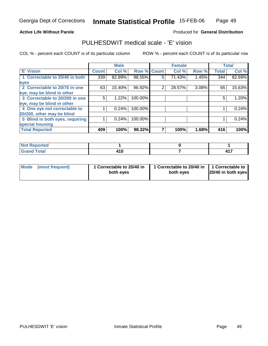#### **Active Life Without Parole**

#### Produced for **General Distribution**

### PULHESDWIT medical scale - 'E' vision

|                                 |              | <b>Male</b> |                    |   | <b>Female</b> |       |              | <b>Total</b> |
|---------------------------------|--------------|-------------|--------------------|---|---------------|-------|--------------|--------------|
| <b>E' Vision</b>                | <b>Count</b> | Col %       | <b>Row % Count</b> |   | Col %         | Row % | <b>Total</b> | Col %        |
| 1 Correctable to 20/40 in both  | 339          | 82.89%      | 98.55%             | 5 | 71.43%        | 1.45% | 344          | 82.69%       |
| eyes                            |              |             |                    |   |               |       |              |              |
| 2 Correctable to 20/70 in one   | 63           | 15.40%      | 96.92%             | 2 | 28.57%        | 3.08% | 65           | 15.63%       |
| eye, may be blind in other      |              |             |                    |   |               |       |              |              |
| 3 Correctable to 20/200 in one  | 5            | 1.22%       | 100.00%            |   |               |       | 5            | 1.20%        |
| eye, may be blind in other      |              |             |                    |   |               |       |              |              |
| 4 One eye not correctable to    |              | 0.24%       | 100.00%            |   |               |       |              | 0.24%        |
| 20/200, other may be blind      |              |             |                    |   |               |       |              |              |
| 5 Blind in both eyes, requiring |              | 0.24%       | 100.00%            |   |               |       |              | 0.24%        |
| special housing                 |              |             |                    |   |               |       |              |              |
| <b>Total Reported</b>           | 409          | 100%        | 98.32%             |   | 100%          | 1.68% | 416          | 100%         |

| <b>Not Reported</b>   |                   |       |
|-----------------------|-------------------|-------|
| <b>Total</b><br>Grand | <b>A</b><br>4 I V | . . 7 |

| Mode (most frequent) | 1 Correctable to 20/40 in<br>both eyes | 1 Correctable to 20/40 in   1 Correctable to<br>both eves | 20/40 in both eyes |
|----------------------|----------------------------------------|-----------------------------------------------------------|--------------------|
|----------------------|----------------------------------------|-----------------------------------------------------------|--------------------|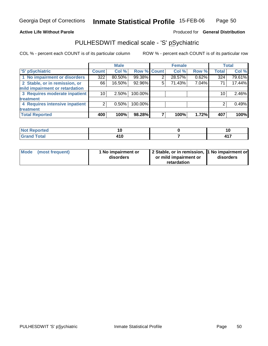#### **Active Life Without Parole**

#### Produced for **General Distribution**

### PULHESDWIT medical scale - 'S' pSychiatric

|                                |              | <b>Male</b> |             |   | <b>Female</b> |       |              | <b>Total</b> |
|--------------------------------|--------------|-------------|-------------|---|---------------|-------|--------------|--------------|
| 'S' pSychiatric                | <b>Count</b> | Col %       | Row % Count |   | Col %         | Row % | <b>Total</b> | Col %        |
| 1 No impairment or disorders   | 322          | $80.50\%$   | 99.38%      |   | 28.57%        | 0.62% | 324          | 79.61%       |
| 2 Stable, or in remission, or  | 66           | 16.50%      | 92.96%      | 5 | 71.43%        | 7.04% | 71           | 17.44%       |
| mild impairment or retardation |              |             |             |   |               |       |              |              |
| 3 Requires moderate inpatient  | 10           | $2.50\%$    | 100.00%     |   |               |       | 10           | 2.46%        |
| treatment                      |              |             |             |   |               |       |              |              |
| 4 Requires intensive inpatient |              | $0.50\%$    | 100.00%     |   |               |       |              | 0.49%        |
| treatment                      |              |             |             |   |               |       |              |              |
| <b>Total Reported</b>          | 400          | 100%        | 98.28%      |   | 100%          | 1.72% | 407          | 100%         |

| 'ted              |      | ιv  |
|-------------------|------|-----|
| $T \sim f \sim f$ | .    | ,,, |
| <b>TULAI</b>      | t IV | .   |

| Mode (most frequent) | 1 No impairment or<br>disorders | 2 Stable, or in remission, 1 No impairment or<br>or mild impairment or | disorders |
|----------------------|---------------------------------|------------------------------------------------------------------------|-----------|
|                      |                                 | retardation                                                            |           |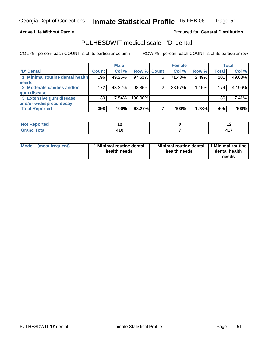#### **Active Life Without Parole**

#### Produced for **General Distribution**

### PULHESDWIT medical scale - 'D' dental

|                                 |              | <b>Male</b> |             | <b>Female</b> |       |              | Total  |
|---------------------------------|--------------|-------------|-------------|---------------|-------|--------------|--------|
| <b>D' Dental</b>                | <b>Count</b> | Col %       | Row % Count | Col %         | Row % | <b>Total</b> | Col %  |
| 1 Minimal routine dental health | 196          | 49.25%      | 97.51%      | 71.43%        | 2.49% | 201          | 49.63% |
| <b>needs</b>                    |              |             |             |               |       |              |        |
| 2 Moderate cavities and/or      | 172          | 43.22%      | 98.85%      | 28.57%        | 1.15% | 174          | 42.96% |
| gum disease                     |              |             |             |               |       |              |        |
| 3 Extensive gum disease         | 30           | $7.54\%$    | 100.00%     |               |       | 30           | 7.41%  |
| and/or widespread decay         |              |             |             |               |       |              |        |
| <b>Total Reported</b>           | 398          | 100%        | 98.27%      | 100%          | 1.73% | 405          | 100%   |

| <b><i>College Address</i></b>      | $\overline{\phantom{0}}$ | $\sim$           |
|------------------------------------|--------------------------|------------------|
| $\sim$                             | 4 I U                    | $\overline{117}$ |
| $\sim$ $\sim$ $\sim$ $\sim$ $\sim$ | $\sim$                   | <b>TII</b>       |

| Mode            | 1 Minimal routine dental | Minimal routine dental 1 Minimal routine | dental health |
|-----------------|--------------------------|------------------------------------------|---------------|
| (most frequent) | health needs             | health needs                             | needs         |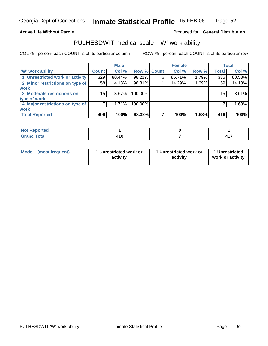#### **Active Life Without Parole**

#### Produced for **General Distribution**

### PULHESDWIT medical scale - 'W' work ability

|                                 |                    | <b>Male</b> |             |   | <b>Female</b> |       |              | Total  |
|---------------------------------|--------------------|-------------|-------------|---|---------------|-------|--------------|--------|
| <b>W'</b> work ability          | Count <sup>'</sup> | Col %       | Row % Count |   | Col %         | Row % | <b>Total</b> | Col %  |
| 1 Unrestricted work or activity | 329                | 80.44%      | 98.21%      | 6 | 85.71%        | 1.79% | 335          | 80.53% |
| 2 Minor restrictions on type of | 58                 | 14.18%      | 98.31%      |   | 14.29%        | 1.69% | 59           | 14.18% |
| <b>work</b>                     |                    |             |             |   |               |       |              |        |
| 3 Moderate restrictions on      | 15                 | $3.67\%$    | 100.00%     |   |               |       | 15           | 3.61%  |
| type of work                    |                    |             |             |   |               |       |              |        |
| 4 Major restrictions on type of |                    | 1.71%       | 100.00%     |   |               |       |              | 1.68%  |
| <b>work</b>                     |                    |             |             |   |               |       |              |        |
| <b>Total Reported</b>           | 409                | 100%        | 98.32%      |   | 100%          | 1.68% | 416          | 100%   |

| $\lceil \cdot \rceil$ rted |           |     |
|----------------------------|-----------|-----|
| <b>Grand Total</b>         | .<br>41 U | 417 |

| <b>Mode</b><br>1 Unrestricted work or<br>1 Unrestricted work or<br>(most frequent)<br>activity<br>activity | 1 Unrestricted<br>work or activity |
|------------------------------------------------------------------------------------------------------------|------------------------------------|
|------------------------------------------------------------------------------------------------------------|------------------------------------|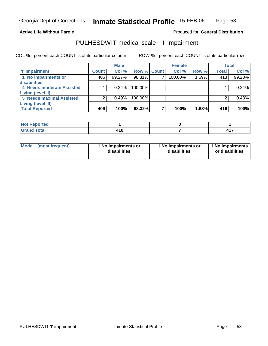#### **Active Life Without Parole**

### Produced for **General Distribution**

### PULHESDWIT medical scale - 'I' impairment

|                                 |              | <b>Male</b> |             | <b>Female</b> |       |              | <b>Total</b> |
|---------------------------------|--------------|-------------|-------------|---------------|-------|--------------|--------------|
| <b>T' Impairment</b>            | <b>Count</b> | Col %       | Row % Count | Col%          | Row % | <b>Total</b> | Col %        |
| 1 No impairments or             | 406          | 99.27%      | 98.31%      | 100.00%       | 1.69% | 413          | 99.28%       |
| disabilities                    |              |             |             |               |       |              |              |
| 4 Needs moderate Assisted       |              | 0.24%       | 100.00%     |               |       |              | 0.24%        |
| Living (level II)               |              |             |             |               |       |              |              |
| <b>5 Needs maximal Assisted</b> |              | 0.49%       | $100.00\%$  |               |       |              | 0.48%        |
| Living (level III)              |              |             |             |               |       |              |              |
| <b>Total Reported</b>           | 409          | 100%        | 98.32%      | 100%          | 1.68% | 416'         | 100%         |

| <b>Not Reported</b>       |                         |          |
|---------------------------|-------------------------|----------|
| Total<br>C <sub>rar</sub> | 44 C<br>4 I V<br>$\sim$ | ,,,<br>. |

| Mode            | 1 No impairments or | 1 No impairments or | 1 No impairments |
|-----------------|---------------------|---------------------|------------------|
| (most frequent) | disabilities        | disabilities        | or disabilities  |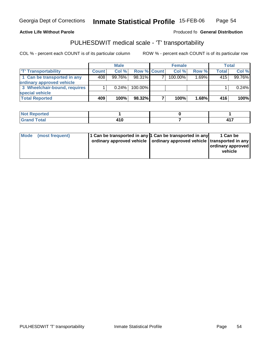Georgia Dept of Corrections

**Inmate Statistical Profile** 15-FEB-06 Page Page 54

**Active Life Without Parole Produced fo Seneral Distribution** 

### PULHESDWIT medical scale - 'T' transportability

|                              |              | <b>Male</b> |                    | <b>Female</b> |          |       | Total  |
|------------------------------|--------------|-------------|--------------------|---------------|----------|-------|--------|
| <b>T' Transportability</b>   | <b>Count</b> | Col %       | <b>Row % Count</b> | Col %         | Row %    | Total | Col %  |
| 1 Can be transported in any  | 408          | $99.76\%$   | $98.31\%$          | $100.00\%$    | $1.69\%$ | 415   | 99.76% |
| ordinary approved vehicle    |              |             |                    |               |          |       |        |
| 3 Wheelchair-bound, requires |              | 0.24%       | $100.00\%$         |               |          |       | 0.24%  |
| special vehicle              |              |             |                    |               |          |       |        |
| <b>Total Reported</b>        | 409          | 100%        | 98.32%             | 100%          | $1.68\%$ | 416   | 100%   |

| Not R<br><b>eported</b><br>. weber |                |       |
|------------------------------------|----------------|-------|
| <b>Total</b><br>Grand              | 4 A M<br>4 I V | 1 4 7 |

| 11 Can be transported in any 1 Can be transported in any<br>Mode<br>(most frequent)<br>ordinary approved vehicle   ordinary approved vehicle   transported in any |  | 1 Can be<br>ordinary approved<br>vehicle |
|-------------------------------------------------------------------------------------------------------------------------------------------------------------------|--|------------------------------------------|
|-------------------------------------------------------------------------------------------------------------------------------------------------------------------|--|------------------------------------------|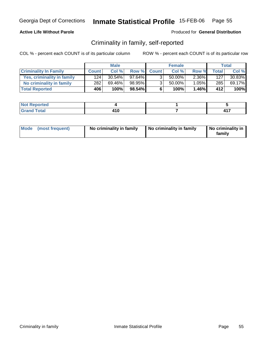### **Active Life Without Parole**

#### Produced for **General Distribution**

### Criminality in family, self-reported

|                              |              | <b>Male</b> |           |                | <b>Female</b> |       |              | Total  |
|------------------------------|--------------|-------------|-----------|----------------|---------------|-------|--------------|--------|
| <b>Criminality In Family</b> | <b>Count</b> | Col %       |           | Row % Count    | Col %         | Row % | <b>Total</b> | Col %  |
| Yes, criminality in family   | 124          | $30.54\%$   | $97.64\%$ | 3              | 50.00%        | 2.36% | 127          | 30.83% |
| No criminality in family     | 282          | 69.46%      | 98.95%    | 3 <sub>1</sub> | 50.00%        | 1.05% | 285          | 69.17% |
| <b>Total Reported</b>        | 406          | 100%        | 98.54%    | 6              | 100%          | 1.46% | 412'         | 100%   |

| <b>Not</b><br>Reported         |       |          |
|--------------------------------|-------|----------|
| <b>Total</b><br>Gran<br>$\sim$ | . . v | 447<br>. |

| Mode (most frequent) | No criminality in family | No criminality in family | No criminality in<br>family |
|----------------------|--------------------------|--------------------------|-----------------------------|
|----------------------|--------------------------|--------------------------|-----------------------------|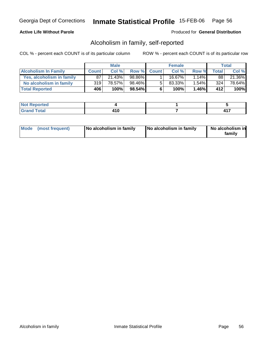### **Active Life Without Parole**

### Produced for **General Distribution**

### Alcoholism in family, self-reported

|                             |              | <b>Male</b> |           |             | <b>Female</b> |       |              | Total  |
|-----------------------------|--------------|-------------|-----------|-------------|---------------|-------|--------------|--------|
| <b>Alcoholism In Family</b> | <b>Count</b> | Col %       |           | Row % Count | Col %         | Row % | <b>Total</b> | Col %  |
| Yes, alcoholism in family   | 87           | 21.43%      | 98.86%    |             | $16.67\%$     | 1.14% | 88           | 21.36% |
| No alcoholism in family     | 319          | 78.57%      | 98.46%    | $5^{\circ}$ | $83.33\%$     | 1.54% | 324          | 78.64% |
| <b>Total Reported</b>       | 406          | 100%        | $98.54\%$ | 6           | 100%          | 1.46% | 412          | 100%   |

| ported<br><b>NOT</b>           |        |     |
|--------------------------------|--------|-----|
| <b>Total</b><br>Gran<br>$\sim$ | $\sim$ | 447 |

| Mode (most frequent) | No alcoholism in family | No alcoholism in family | No alcoholism in<br>familv |
|----------------------|-------------------------|-------------------------|----------------------------|
|----------------------|-------------------------|-------------------------|----------------------------|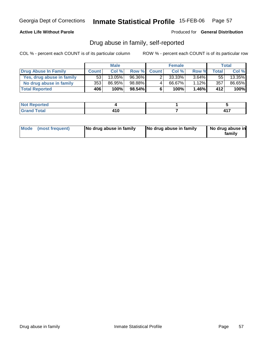### **Active Life Without Parole**

Produced for **General Distribution**

### Drug abuse in family, self-reported

|                           |              | <b>Male</b> |        |              | <b>Female</b> |          |              | Total  |
|---------------------------|--------------|-------------|--------|--------------|---------------|----------|--------------|--------|
| Drug Abuse In Family      | <b>Count</b> | Col %       | Row %  | <b>Count</b> | Col %         | Row %    | <b>Total</b> | Col %  |
| Yes, drug abuse in family | 53           | $13.05\%$   | 96.36% |              | 33.33%        | $3.64\%$ | 55           | 13.35% |
| No drug abuse in family   | 353          | 86.95%      | 98.88% | 4            | 66.67%        | 1.12%    | 357          | 86.65% |
| <b>Total Reported</b>     | 406          | 100%        | 98.54% | 6            | 100%          | $1.46\%$ | 412'         | 100%   |

| المتعاقبات<br>NO.<br>nceo |       |   |
|---------------------------|-------|---|
| $\sim$ 10<br>Utal<br>---- | . . v | . |

| Mode (most frequent) |  | No drug abuse in family | No drug abuse in family | No drug abuse in<br>familv |
|----------------------|--|-------------------------|-------------------------|----------------------------|
|----------------------|--|-------------------------|-------------------------|----------------------------|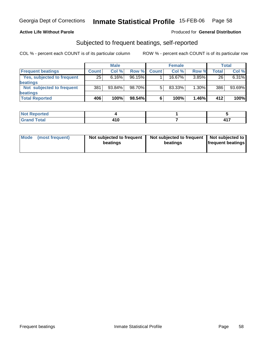### **Active Life Without Parole**

#### Produced for **General Distribution**

### Subjected to frequent beatings, self-reported

|                            |                 | <b>Male</b> |           |              | <b>Female</b> |          |       | <b>Total</b> |
|----------------------------|-----------------|-------------|-----------|--------------|---------------|----------|-------|--------------|
| <b>Frequent beatings</b>   | <b>Count</b>    | Col%        | Row %     | <b>Count</b> | Col%          | Row %    | Total | Col %        |
| Yes, subjected to frequent | $\overline{25}$ | 6.16%       | $96.15\%$ |              | 16.67%        | 3.85%    | 26    | 6.31%        |
| <b>beatings</b>            |                 |             |           |              |               |          |       |              |
| Not subjected to frequent  | 381             | 93.84%      | 98.70%    | 5            | 83.33%        | $1.30\%$ | 386   | 93.69%       |
| beatings                   |                 |             |           |              |               |          |       |              |
| <b>Total Reported</b>      | 406             | 100%        | 98.54%    | 6            | 100%          | 1.46%    | 412   | 100%         |

| <b>Not Reported</b>  |              |   |
|----------------------|--------------|---|
| <b>Total</b><br>Cror | . .<br>1 I V | . |

| Mode | (most frequent) | Not subjected to frequent<br>beatings | Not subjected to frequent   Not subjected to<br>beatings | <b>frequent beatings</b> |  |
|------|-----------------|---------------------------------------|----------------------------------------------------------|--------------------------|--|
|      |                 |                                       |                                                          |                          |  |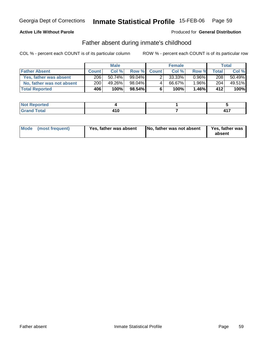### **Active Life Without Parole**

Produced for **General Distribution**

### Father absent during inmate's childhood

|                           |              | <b>Male</b> |        |             | <b>Female</b> |          |              | Total  |
|---------------------------|--------------|-------------|--------|-------------|---------------|----------|--------------|--------|
| <b>Father Absent</b>      | <b>Count</b> | Col %       |        | Row % Count | Col %         | Row %    | <b>Total</b> | Col %  |
| Yes, father was absent    | 206          | $50.74\%$   | 99.04% |             | 33.33%        | $0.96\%$ | 208          | 50.49% |
| No, father was not absent | 200          | 49.26%      | 98.04% | 4           | 66.67%        | 1.96%    | 204          | 49.51% |
| <b>Total Reported</b>     | 406          | 100%        | 98.54% | 6           | 100%          | 1.46%    | 412'         | 100%   |

| <b>Not Reported</b>      |  |   |
|--------------------------|--|---|
| `otal<br>Grano<br>$\sim$ |  | . |

| Mode (most frequent) | Yes, father was absent | No, father was not absent | Yes, father was<br>absent |
|----------------------|------------------------|---------------------------|---------------------------|
|----------------------|------------------------|---------------------------|---------------------------|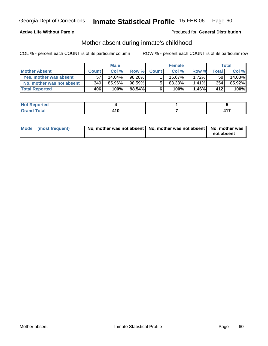### **Active Life Without Parole**

#### Produced for **General Distribution**

### Mother absent during inmate's childhood

|                           |              | <b>Male</b> |        |             | <b>Female</b> |       |              | Total  |
|---------------------------|--------------|-------------|--------|-------------|---------------|-------|--------------|--------|
| <b>Mother Absent</b>      | <b>Count</b> | Col %       |        | Row % Count | Col %         | Row % | <b>Total</b> | Col %  |
| Yes, mother was absent    | 57           | $14.04\%$   | 98.28% |             | 16.67%」       | 1.72% | 58           | 14.08% |
| No, mother was not absent | 349          | 85.96%      | 98.59% | 5           | 83.33%        | 1.41% | 354          | 85.92% |
| <b>Total Reported</b>     | 406          | 100%        | 98.54% | 6           | 100%          | 1.46% | 412          | 100%   |

| <b>Not</b><br>Reported         |       |          |
|--------------------------------|-------|----------|
| <b>Total</b><br>Gran<br>$\sim$ | . . v | 447<br>. |

| Mode (most frequent) | No, mother was not absent   No, mother was not absent   No, mother was |            |
|----------------------|------------------------------------------------------------------------|------------|
|                      |                                                                        | not absent |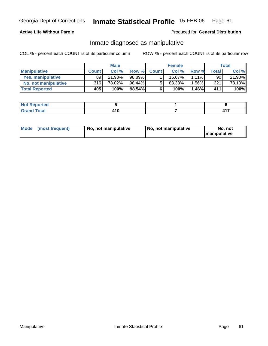### **Active Life Without Parole**

#### Produced for **General Distribution**

### Inmate diagnosed as manipulative

|                       | <b>Male</b>  |        | <b>Female</b> |              |        | Total    |       |        |
|-----------------------|--------------|--------|---------------|--------------|--------|----------|-------|--------|
| <b>Manipulative</b>   | <b>Count</b> | Col %  | Row %         | <b>Count</b> | Col %  | Row %    | Total | Col %  |
| Yes, manipulative     | 89           | 21.98% | 98.89%        |              | 16.67% | 1.11% I  | 90    | 21.90% |
| No, not manipulative  | 316          | 78.02% | 98.44%        | 5            | 83.33% | $1.56\%$ | 321   | 78.10% |
| <b>Total Reported</b> | 405          | 100%   | $98.54\%$     | 6            | 100%   | 1.46%    | 411   | 100%   |

| 'Nor<br>orted                 |                 |    |
|-------------------------------|-----------------|----|
| <b>Total</b><br>Grar<br>- - - | . . U<br>$\sim$ | -- |

| Mode<br>(most frequent)<br>  No. not manipulative | No, not manipulative | No, not<br><b>Imanipulative</b> |
|---------------------------------------------------|----------------------|---------------------------------|
|---------------------------------------------------|----------------------|---------------------------------|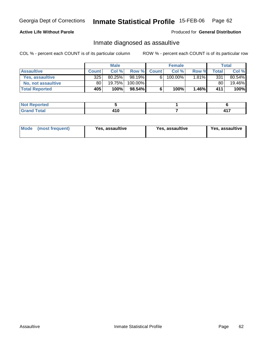### **Active Life Without Parole**

#### Produced for **General Distribution**

### Inmate diagnosed as assaultive

|                       | <b>Male</b>  |        | <b>Female</b> |             |         | Total |              |        |
|-----------------------|--------------|--------|---------------|-------------|---------|-------|--------------|--------|
| <b>Assaultive</b>     | <b>Count</b> | Col %  |               | Row % Count | Col %   | Row % | <b>Total</b> | Col %  |
| Yes. assaultive       | 325          | 80.25% | 98.19%        | 6           | 100.00% | 1.81% | 331          | 80.54% |
| No, not assaultive    | 80           | 19.75% | 100.00%       |             |         |       | 80           | 19.46% |
| <b>Total Reported</b> | 405          | 100%   | 98.54%        | 6           | 100%    | 1.46% | 411          | 100%   |

| <b>Not Reported</b>     |  |       |
|-------------------------|--|-------|
| <b>Total</b><br>' Grand |  | . . - |

| <b>Mode</b><br>Yes. assaultive<br>(most frequent) | Yes, assaultive | Yes, assaultive |
|---------------------------------------------------|-----------------|-----------------|
|---------------------------------------------------|-----------------|-----------------|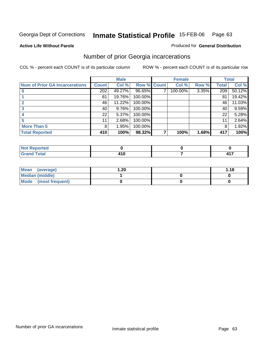#### **Active Life Without Parole**

#### Produced for **General Distribution**

### Number of prior Georgia incarcerations

|                                       |              | <b>Male</b> |                    | <b>Female</b> |       |       | <b>Total</b> |
|---------------------------------------|--------------|-------------|--------------------|---------------|-------|-------|--------------|
| <b>Num of Prior GA Incarcerations</b> | <b>Count</b> | Col %       | <b>Row % Count</b> | Col %         | Row % | Total | Col %        |
|                                       | 202          | 49.27%      | 96.65%             | 100.00%       | 3.35% | 209   | 50.12%       |
|                                       | 81           | 19.76%      | 100.00%            |               |       | 81    | 19.42%       |
|                                       | 46           | 11.22%      | 100.00%            |               |       | 46    | 11.03%       |
|                                       | 40           | 9.76%       | 100.00%            |               |       | 40    | 9.59%        |
|                                       | 22           | 5.37%       | 100.00%            |               |       | 22    | 5.28%        |
|                                       | 11           | 2.68%       | 100.00%            |               |       | 11    | 2.64%        |
| <b>More Than 5</b>                    | 8            | 1.95%       | 100.00%            |               |       | 8     | 1.92%        |
| <b>Total Reported</b>                 | 410          | 100%        | 98.32%             | 100%          | 1.68% | 417   | 100%         |

| --<br>. .           |    |  |         |  |
|---------------------|----|--|---------|--|
| $T$ ndina<br>______ | __ |  | --<br>- |  |

| Mean (average)         | 20. ا | 1.18 |
|------------------------|-------|------|
| <b>Median (middle)</b> |       |      |
| Mode (most frequent)   |       |      |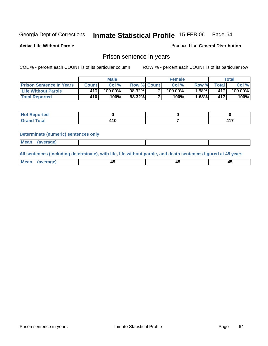**Active Life Without Parole** 

Produced for **General Distribution**

### Prison sentence in years

COL % - percent each COUNT is of its particular column ROW % - percent each COUNT is of its particular row

|                                 | <b>Male</b>  |            |                    | <b>Female</b> | Total |                |         |
|---------------------------------|--------------|------------|--------------------|---------------|-------|----------------|---------|
| <b>Prison Sentence In Years</b> | <b>Count</b> | Col %      | <b>Row % Count</b> | Col %         | Row % | <b>Total</b> I | Col %   |
| Life Without Parole             | $410^{+}$    | $100.00\%$ | 98.32%             | $100.00\%$    | .68%  | 417            | 100.00% |
| <b>Total Reported</b>           | 410          | 100%       | 98.32%             | 100%          | 1.68% | 417            | 100%    |

| <b>nrted</b>                     |  |       |
|----------------------------------|--|-------|
| <b>Total</b><br>$\mathbf{v}$ and |  | 1 4 T |

#### **Determinate (numeric) sentences only**

| <b>Mean</b> | (average) |  |  |
|-------------|-----------|--|--|
|             |           |  |  |

**All sentences (including determinate), with life, life without parole, and death sentences figured at 45 years**

| ' Mea<br>rane<br>᠇৺<br>- 1<br>--<br>$\sim$<br>$\sim$ |  |
|------------------------------------------------------|--|
|------------------------------------------------------|--|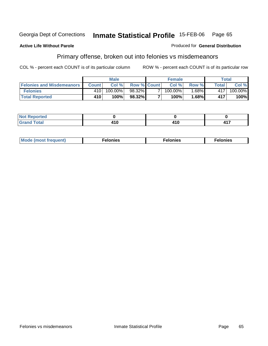#### **Active Life Without Parole**

# Produced for **General Distribution**

# Primary offense, broken out into felonies vs misdemeanors

|                                  | <b>Male</b> |         |                    |   | <b>Female</b> | Total   |         |            |
|----------------------------------|-------------|---------|--------------------|---|---------------|---------|---------|------------|
| <b>Felonies and Misdemeanors</b> | Count I     | Col%    | <b>Row % Count</b> |   | Col %         | Row %   | Total I | Col %      |
| <b>Felonies</b>                  | 410         | 100.00% | 98.32%             | - | $100.00\%$    | $.68\%$ | 417     | $100.00\%$ |
| <b>Total Reported</b>            | 410         | 100%    | 98.32%             |   | $100\%$       | .68%    | 417     | 100%       |

| <b>Not Reported</b><br>$\sim$ |          |      |
|-------------------------------|----------|------|
| <b>Total</b><br>Grand         | .<br>TIV | 11 7 |

| <b>Mo</b><br>requent)<br>onies<br>.<br>____ | nies.<br>חי<br>____ | <b>onies</b><br>. |
|---------------------------------------------|---------------------|-------------------|
|---------------------------------------------|---------------------|-------------------|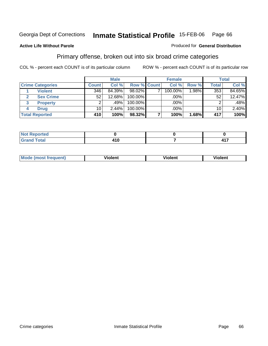#### **Active Life Without Parole**

#### Produced for **General Distribution**

### Primary offense, broken out into six broad crime categories

|                         |                       | <b>Male</b>     |        |             | <b>Female</b> |         |       | <b>Total</b>    |        |  |
|-------------------------|-----------------------|-----------------|--------|-------------|---------------|---------|-------|-----------------|--------|--|
| <b>Crime Categories</b> |                       | <b>Count</b>    | Col %  | Row % Count |               | Col %   | Row % | <b>Total</b>    | Col %  |  |
|                         | <b>Violent</b>        | 346             | 84.39% | $98.02\%$   |               | 100.00% | 1.98% | 353             | 84.65% |  |
| 2                       | <b>Sex Crime</b>      | 52              | 12.68% | 100.00%     |               | .00%    |       | 52              | 12.47% |  |
| 3                       | <b>Property</b>       | 2               | .49%   | 100.00%     |               | .00%    |       | 2               | .48%   |  |
| 4                       | <b>Drug</b>           | 10 <sup>1</sup> | 2.44%  | 100.00%     |               | $.00\%$ |       | 10 <sub>1</sub> | 2.40%  |  |
|                         | <b>Total Reported</b> | 410             | 100%   | 98.32%      |               | 100%    | 1.68% | 417             | 100%   |  |

| <b>Enorted</b><br>NOT<br>as ences<br>. <b>.</b>                   |  |          |
|-------------------------------------------------------------------|--|----------|
| $f \wedge f \wedge f'$<br><b>C</b> <sub>r</sub><br>υιαι<br>$\sim$ |  | 147<br>. |

| M <sub>O</sub><br>requent)<br>$\cdots$ | .<br>/iolent<br>____ | ′iolent<br>____ | .<br>iolent<br>וסוי |
|----------------------------------------|----------------------|-----------------|---------------------|
|                                        |                      |                 |                     |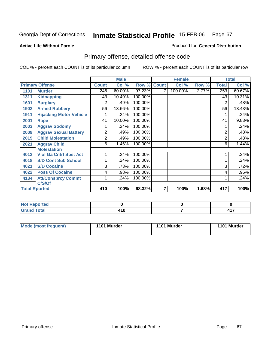#### **Active Life Without Parole**

#### Produced for **General Distribution**

# Primary offense, detailed offense code

|      |                                |              | <b>Male</b> |         |              | <b>Female</b> |       |                | <b>Total</b> |
|------|--------------------------------|--------------|-------------|---------|--------------|---------------|-------|----------------|--------------|
|      | <b>Primary Offense</b>         | <b>Count</b> | Col %       | Row %   | <b>Count</b> | Col %         | Row % | Total          | Col %        |
| 1101 | <b>Murder</b>                  | 246          | 60.00%      | 97.23%  | 7            | 100.00%       | 2.77% | 253            | 60.67%       |
| 1311 | <b>Kidnapping</b>              | 43           | 10.49%      | 100.00% |              |               |       | 43             | 10.31%       |
| 1601 | <b>Burglary</b>                | 2            | .49%        | 100.00% |              |               |       | 2              | .48%         |
| 1902 | <b>Armed Robbery</b>           | 56           | 13.66%      | 100.00% |              |               |       | 56             | 13.43%       |
| 1911 | <b>Hijacking Motor Vehicle</b> |              | .24%        | 100.00% |              |               |       |                | .24%         |
| 2001 | <b>Rape</b>                    | 41           | 10.00%      | 100.00% |              |               |       | 41             | 9.83%        |
| 2003 | <b>Aggrav Sodomy</b>           |              | .24%        | 100.00% |              |               |       |                | .24%         |
| 2009 | <b>Aggrav Sexual Battery</b>   | 2            | .49%        | 100.00% |              |               |       | $\overline{2}$ | .48%         |
| 2019 | <b>Child Molestation</b>       | 2            | .49%        | 100.00% |              |               |       | 2              | .48%         |
| 2021 | <b>Aggrav Child</b>            | 6            | 1.46%       | 100.00% |              |               |       | 6              | 1.44%        |
|      | <b>Molestation</b>             |              |             |         |              |               |       |                |              |
| 4012 | <b>Viol Ga Cntrl Sbst Act</b>  |              | .24%        | 100.00% |              |               |       |                | .24%         |
| 4018 | <b>S/D Cont Sub School</b>     |              | .24%        | 100.00% |              |               |       |                | .24%         |
| 4021 | <b>S/D Cocaine</b>             | 3            | .73%        | 100.00% |              |               |       | 3              | .72%         |
| 4022 | <b>Poss Of Cocaine</b>         | 4            | .98%        | 100.00% |              |               |       | 4              | .96%         |
| 4134 | <b>Att/Consprcy Commt</b>      |              | .24%        | 100.00% |              |               |       |                | .24%         |
|      | C/S/Of                         |              |             |         |              |               |       |                |              |
|      | <b>Total Rported</b>           | 410          | 100%        | 98.32%  | 7            | 100%          | 1.68% | 417            | 100%         |

| <b>Not</b><br>. Reported<br>.                    |        |   |
|--------------------------------------------------|--------|---|
| <b>Total</b><br><b>Grand</b><br>$\mathbf{v}$ and | .<br>. | . |

| <b>Mode (most frequent)</b> | 1101 Murder | 1101 Murder | 1101 Murder |
|-----------------------------|-------------|-------------|-------------|
|-----------------------------|-------------|-------------|-------------|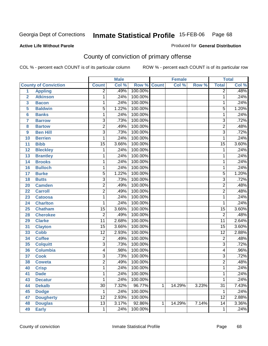Produced for **General Distribution**

#### **Active Life Without Parole**

# County of conviction of primary offense

|                |                             |                 | <b>Male</b> |                    |              | <b>Female</b> |       |                 | <b>Total</b> |
|----------------|-----------------------------|-----------------|-------------|--------------------|--------------|---------------|-------|-----------------|--------------|
|                | <b>County of Conviction</b> | <b>Count</b>    | Col %       | <b>Row % Count</b> |              | Col %         | Row % | <b>Total</b>    | Col %        |
| 1              | <b>Appling</b>              | $\overline{2}$  | .49%        | 100.00%            |              |               |       | $\overline{2}$  | .48%         |
| $\overline{2}$ | <b>Atkinson</b>             | 1               | .24%        | 100.00%            |              |               |       | 1               | .24%         |
| 3              | <b>Bacon</b>                | 1               | .24%        | 100.00%            |              |               |       | 1               | .24%         |
| 5              | <b>Baldwin</b>              | 5               | 1.22%       | 100.00%            |              |               |       | $\overline{5}$  | 1.20%        |
| 6              | <b>Banks</b>                | 1               | .24%        | 100.00%            |              |               |       | 1               | .24%         |
| $\overline{7}$ | <b>Barrow</b>               | $\overline{3}$  | .73%        | 100.00%            |              |               |       | $\overline{3}$  | .72%         |
| 8              | <b>Bartow</b>               | $\overline{2}$  | .49%        | 100.00%            |              |               |       | $\overline{2}$  | .48%         |
| 9              | <b>Ben Hill</b>             | $\overline{3}$  | .73%        | 100.00%            |              |               |       | $\overline{3}$  | .72%         |
| 10             | <b>Berrien</b>              | 1               | .24%        | 100.00%            |              |               |       | 1               | .24%         |
| 11             | <b>Bibb</b>                 | $\overline{15}$ | 3.66%       | 100.00%            |              |               |       | $\overline{15}$ | 3.60%        |
| 12             | <b>Bleckley</b>             | 1               | .24%        | 100.00%            |              |               |       | 1               | .24%         |
| 13             | <b>Brantley</b>             | 1               | .24%        | 100.00%            |              |               |       | 1               | .24%         |
| 14             | <b>Brooks</b>               | 1               | .24%        | 100.00%            |              |               |       | 1               | .24%         |
| 16             | <b>Bulloch</b>              | 1               | .24%        | 100.00%            |              |               |       | 1               | .24%         |
| 17             | <b>Burke</b>                | $\overline{5}$  | 1.22%       | 100.00%            |              |               |       | $\overline{5}$  | 1.20%        |
| 18             | <b>Butts</b>                | 3               | .73%        | 100.00%            |              |               |       | $\overline{3}$  | .72%         |
| 20             | <b>Camden</b>               | $\overline{2}$  | .49%        | 100.00%            |              |               |       | $\overline{2}$  | .48%         |
| 22             | <b>Carroll</b>              | $\overline{2}$  | .49%        | 100.00%            |              |               |       | $\overline{2}$  | .48%         |
| 23             | <b>Catoosa</b>              | 1               | .24%        | 100.00%            |              |               |       | 1               | .24%         |
| 24             | <b>Charlton</b>             | 1               | .24%        | 100.00%            |              |               |       | 1               | .24%         |
| 25             | <b>Chatham</b>              | $\overline{15}$ | 3.66%       | 100.00%            |              |               |       | $\overline{15}$ | 3.60%        |
| 28             | <b>Cherokee</b>             | $\overline{2}$  | .49%        | 100.00%            |              |               |       | $\overline{2}$  | .48%         |
| 29             | <b>Clarke</b>               | $\overline{11}$ | 2.68%       | 100.00%            |              |               |       | $\overline{11}$ | 2.64%        |
| 31             | <b>Clayton</b>              | $\overline{15}$ | 3.66%       | 100.00%            |              |               |       | $\overline{15}$ | 3.60%        |
| 33             | <b>Cobb</b>                 | $\overline{12}$ | 2.93%       | 100.00%            |              |               |       | $\overline{12}$ | 2.88%        |
| 34             | <b>Coffee</b>               | $\overline{2}$  | .49%        | 100.00%            |              |               |       | $\overline{c}$  | .48%         |
| 35             | <b>Colquitt</b>             | $\overline{3}$  | .73%        | 100.00%            |              |               |       | $\overline{3}$  | .72%         |
| 36             | <b>Columbia</b>             | 4               | .98%        | 100.00%            |              |               |       | 4               | .96%         |
| 37             | <b>Cook</b>                 | $\overline{3}$  | .73%        | 100.00%            |              |               |       | $\overline{3}$  | .72%         |
| 38             | <b>Coweta</b>               | $\overline{2}$  | .49%        | 100.00%            |              |               |       | $\overline{2}$  | .48%         |
| 40             | <b>Crisp</b>                | 1               | .24%        | 100.00%            |              |               |       | 1               | .24%         |
| 41             | <b>Dade</b>                 | 1               | .24%        | 100.00%            |              |               |       | 1               | .24%         |
| 43             | <b>Decatur</b>              | $\mathbf{1}$    | .24%        | 100.00%            |              |               |       | $\overline{1}$  | .24%         |
| 44             | <b>Dekalb</b>               | $\overline{30}$ | 7.32%       | 96.77%             | $\mathbf{1}$ | 14.29%        | 3.23% | $\overline{31}$ | 7.43%        |
| 45             | <b>Dodge</b>                | 1               | .24%        | 100.00%            |              |               |       | 1               | .24%         |
| 47             | <b>Dougherty</b>            | 12              | 2.93%       | 100.00%            |              |               |       | 12              | 2.88%        |
| 48             | <b>Douglas</b>              | $\overline{13}$ | 3.17%       | 92.86%             | $\mathbf{1}$ | 14.29%        | 7.14% | $\overline{14}$ | 3.36%        |
| 49             | <b>Early</b>                | 1               | .24%        | 100.00%            |              |               |       | 1               | .24%         |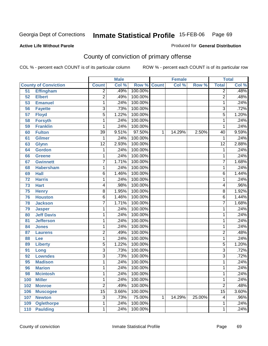Produced for **General Distribution**

#### **Active Life Without Parole**

# County of conviction of primary offense

|     |                             |                 | <b>Male</b> |                    |             | <b>Female</b> |        |                         | <b>Total</b> |
|-----|-----------------------------|-----------------|-------------|--------------------|-------------|---------------|--------|-------------------------|--------------|
|     | <b>County of Conviction</b> | <b>Count</b>    | Col %       | <b>Row % Count</b> |             | Col %         | Row %  | <b>Total</b>            | Col %        |
| 51  | <b>Effingham</b>            | $\overline{2}$  | .49%        | 100.00%            |             |               |        | $\overline{2}$          | .48%         |
| 52  | <b>Elbert</b>               | $\overline{2}$  | .49%        | 100.00%            |             |               |        | $\overline{2}$          | .48%         |
| 53  | <b>Emanuel</b>              | 1               | .24%        | 100.00%            |             |               |        | 1                       | .24%         |
| 56  | <b>Fayette</b>              | $\overline{3}$  | .73%        | 100.00%            |             |               |        | $\overline{3}$          | .72%         |
| 57  | <b>Floyd</b>                | $\overline{5}$  | 1.22%       | 100.00%            |             |               |        | $\overline{5}$          | 1.20%        |
| 58  | <b>Forsyth</b>              | 1               | .24%        | 100.00%            |             |               |        | 1                       | .24%         |
| 59  | <b>Franklin</b>             | 1               | .24%        | 100.00%            |             |               |        | 1                       | .24%         |
| 60  | <b>Fulton</b>               | $\overline{39}$ | 9.51%       | 97.50%             | $\mathbf 1$ | 14.29%        | 2.50%  | 40                      | 9.59%        |
| 61  | Gilmer                      | $\mathbf{1}$    | .24%        | 100.00%            |             |               |        | $\mathbf{1}$            | .24%         |
| 63  | Glynn                       | $\overline{12}$ | 2.93%       | 100.00%            |             |               |        | $\overline{12}$         | 2.88%        |
| 64  | <b>Gordon</b>               | 1               | .24%        | 100.00%            |             |               |        | 1                       | .24%         |
| 66  | <b>Greene</b>               | 1               | .24%        | 100.00%            |             |               |        | 1                       | .24%         |
| 67  | <b>Gwinnett</b>             | 7               | 1.71%       | 100.00%            |             |               |        | $\overline{7}$          | 1.68%        |
| 68  | <b>Habersham</b>            | 1               | .24%        | 100.00%            |             |               |        | 1                       | .24%         |
| 69  | <b>Hall</b>                 | 6               | 1.46%       | 100.00%            |             |               |        | $\overline{6}$          | 1.44%        |
| 72  | <b>Harris</b>               | 1               | .24%        | 100.00%            |             |               |        | 1                       | .24%         |
| 73  | <b>Hart</b>                 | 4               | .98%        | 100.00%            |             |               |        | 4                       | .96%         |
| 75  | <b>Henry</b>                | $\overline{8}$  | 1.95%       | 100.00%            |             |               |        | $\overline{8}$          | 1.92%        |
| 76  | <b>Houston</b>              | $\overline{6}$  | 1.46%       | 100.00%            |             |               |        | $\overline{6}$          | 1.44%        |
| 78  | <b>Jackson</b>              | 7               | 1.71%       | 100.00%            |             |               |        | 7                       | 1.68%        |
| 79  | <b>Jasper</b>               | 1               | .24%        | 100.00%            |             |               |        | $\mathbf{1}$            | .24%         |
| 80  | <b>Jeff Davis</b>           | 1               | .24%        | 100.00%            |             |               |        | 1                       | .24%         |
| 81  | <b>Jefferson</b>            | 1               | .24%        | 100.00%            |             |               |        | $\mathbf{1}$            | .24%         |
| 84  | <b>Jones</b>                | 1               | .24%        | 100.00%            |             |               |        | 1                       | .24%         |
| 87  | <b>Laurens</b>              | 2               | .49%        | 100.00%            |             |               |        | 2                       | .48%         |
| 88  | Lee                         | 1               | .24%        | 100.00%            |             |               |        | 1                       | .24%         |
| 89  | <b>Liberty</b>              | $\overline{5}$  | 1.22%       | 100.00%            |             |               |        | $\overline{5}$          | 1.20%        |
| 91  | Long                        | 3               | .73%        | 100.00%            |             |               |        | $\overline{3}$          | .72%         |
| 92  | <b>Lowndes</b>              | $\overline{3}$  | .73%        | 100.00%            |             |               |        | $\overline{3}$          | .72%         |
| 95  | <b>Madison</b>              | 1               | .24%        | 100.00%            |             |               |        | 1                       | .24%         |
| 96  | <b>Marion</b>               | 1               | .24%        | 100.00%            |             |               |        | 1                       | .24%         |
| 98  | <b>Mcintosh</b>             | 1               | .24%        | 100.00%            |             |               |        | 1                       | .24%         |
| 100 | <b>Miller</b>               | 1               | .24%        | 100.00%            |             |               |        | 1                       | .24%         |
| 102 | <b>Monroe</b>               | $\overline{2}$  | .49%        | 100.00%            |             |               |        | $\overline{2}$          | .48%         |
| 106 | <b>Muscogee</b>             | $\overline{15}$ | 3.66%       | 100.00%            |             |               |        | $\overline{15}$         | 3.60%        |
| 107 | <b>Newton</b>               | 3               | .73%        | 75.00%             | $\mathbf 1$ | 14.29%        | 25.00% | $\overline{\mathbf{4}}$ | .96%         |
| 109 | <b>Oglethorpe</b>           | 1               | .24%        | 100.00%            |             |               |        | 1                       | .24%         |
| 110 | <b>Paulding</b>             | 1               | .24%        | 100.00%            |             |               |        | 1                       | .24%         |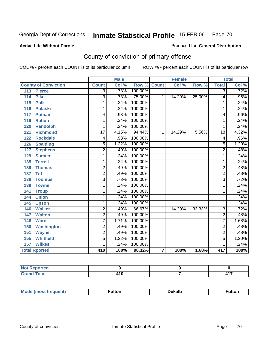#### **Active Life Without Parole**

#### Produced for **General Distribution**

# County of conviction of primary offense

|                             |                | <b>Male</b> |                    | <b>Female</b>           |        | <b>Total</b> |                         |                            |
|-----------------------------|----------------|-------------|--------------------|-------------------------|--------|--------------|-------------------------|----------------------------|
| <b>County of Conviction</b> | <b>Count</b>   | Col %       | <b>Row % Count</b> |                         | Col %  | Row %        | <b>Total</b>            | $\overline{\text{Col }^9}$ |
| <b>Pierce</b><br>113        | 3              | .73%        | 100.00%            |                         |        |              | $\overline{3}$          | .72%                       |
| 114<br><b>Pike</b>          | 3              | .73%        | 75.00%             | $\mathbf{1}$            | 14.29% | 25.00%       | 4                       | .96%                       |
| 115<br><b>Polk</b>          | 1              | .24%        | 100.00%            |                         |        |              | 1                       | .24%                       |
| 116<br><b>Pulaski</b>       | 1              | .24%        | 100.00%            |                         |        |              | 1                       | .24%                       |
| 117<br><b>Putnam</b>        | 4              | .98%        | 100.00%            |                         |        |              | 4                       | .96%                       |
| 119<br><b>Rabun</b>         | 1              | .24%        | 100.00%            |                         |        |              | 1                       | .24%                       |
| <b>Randolph</b><br>120      | 1              | .24%        | 100.00%            |                         |        |              | 1                       | .24%                       |
| <b>Richmond</b><br>121      | 17             | 4.15%       | 94.44%             | 1                       | 14.29% | 5.56%        | $\overline{18}$         | 4.32%                      |
| <b>Rockdale</b><br>122      | 4              | .98%        | 100.00%            |                         |        |              | $\overline{\mathbf{4}}$ | .96%                       |
| <b>Spalding</b><br>126      | 5              | 1.22%       | 100.00%            |                         |        |              | 5                       | 1.20%                      |
| <b>Stephens</b><br>127      | $\overline{2}$ | .49%        | 100.00%            |                         |        |              | $\overline{2}$          | .48%                       |
| 129<br><b>Sumter</b>        | 1              | .24%        | 100.00%            |                         |        |              | 1                       | .24%                       |
| <b>Terrell</b><br>135       | 1              | .24%        | 100.00%            |                         |        |              | 1                       | .24%                       |
| 136<br><b>Thomas</b>        | 2              | .49%        | 100.00%            |                         |        |              | $\overline{2}$          | .48%                       |
| <b>Tift</b><br>137          | $\overline{2}$ | .49%        | 100.00%            |                         |        |              | $\overline{2}$          | .48%                       |
| <b>Toombs</b><br>138        | $\overline{3}$ | .73%        | 100.00%            |                         |        |              | $\overline{3}$          | .72%                       |
| <b>Towns</b><br>139         | 1              | .24%        | 100.00%            |                         |        |              | 1                       | .24%                       |
| 141<br><b>Troup</b>         | 1              | .24%        | 100.00%            |                         |        |              | 1                       | .24%                       |
| <b>Union</b><br>144         | 1              | .24%        | 100.00%            |                         |        |              | 1                       | .24%                       |
| 145<br><b>Upson</b>         | 1              | .24%        | 100.00%            |                         |        |              | 1                       | .24%                       |
| <b>Walker</b><br>146        | $\overline{2}$ | .49%        | 66.67%             | $\mathbf{1}$            | 14.29% | 33.33%       | $\overline{3}$          | .72%                       |
| <b>Walton</b><br>147        | $\overline{2}$ | .49%        | 100.00%            |                         |        |              | $\overline{2}$          | .48%                       |
| 148<br><b>Ware</b>          | 7              | 1.71%       | 100.00%            |                         |        |              | $\overline{7}$          | 1.68%                      |
| <b>Washington</b><br>150    | $\overline{2}$ | .49%        | 100.00%            |                         |        |              | $\overline{2}$          | .48%                       |
| 151<br><b>Wayne</b>         | $\overline{2}$ | .49%        | 100.00%            |                         |        |              | $\overline{2}$          | .48%                       |
| <b>Whitfield</b><br>155     | $\overline{5}$ | 1.22%       | 100.00%            |                         |        |              | $\overline{5}$          | 1.20%                      |
| <b>Wilkes</b><br>157        | 1              | .24%        | 100.00%            |                         |        |              | 1                       | .24%                       |
| <b>Total Rported</b>        | 410            | 100%        | 98.32%             | $\overline{\mathbf{z}}$ | 100%   | 1.68%        | 417                     | 100%                       |

| المتملس متمر<br>prtea     |       |     |
|---------------------------|-------|-----|
| T <sub>ofol</sub><br>υιαι | 2 I V | 447 |

| Mo<br>nuent)<br>$\cdots$ |  | Dekalb | ultor |
|--------------------------|--|--------|-------|
|--------------------------|--|--------|-------|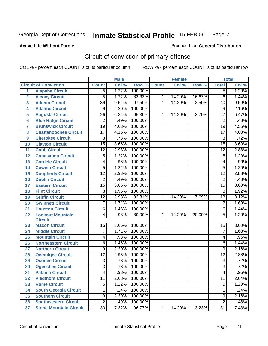#### **Active Life Without Parole**

#### Produced for **General Distribution**

# Circuit of conviction of primary offense

|                         |                               |                 | <b>Male</b> |         |              | <b>Female</b> |        |                         | <b>Total</b> |
|-------------------------|-------------------------------|-----------------|-------------|---------|--------------|---------------|--------|-------------------------|--------------|
|                         | <b>Circuit of Conviction</b>  | <b>Count</b>    | Col %       | Row %   | <b>Count</b> | Col %         | Row %  | <b>Total</b>            | Col %        |
| $\overline{1}$          | <b>Alapaha Circuit</b>        | 5               | 1.22%       | 100.00% |              |               |        | $\overline{5}$          | 1.20%        |
| $\overline{\mathbf{2}}$ | <b>Alcovy Circuit</b>         | 5               | 1.22%       | 83.33%  | 1            | 14.29%        | 16.67% | $\overline{6}$          | 1.44%        |
| $\overline{\mathbf{3}}$ | <b>Atlanta Circuit</b>        | $\overline{39}$ | 9.51%       | 97.50%  | 1            | 14.29%        | 2.50%  | 40                      | 9.59%        |
| 4                       | <b>Atlantic Circuit</b>       | $\overline{9}$  | 2.20%       | 100.00% |              |               |        | $\overline{9}$          | 2.16%        |
| 5                       | <b>Augusta Circuit</b>        | 26              | 6.34%       | 96.30%  | 1            | 14.29%        | 3.70%  | 27                      | 6.47%        |
| $6\phantom{a}6$         | <b>Blue Ridge Circuit</b>     | $\overline{2}$  | .49%        | 100.00% |              |               |        | $\overline{2}$          | .48%         |
| $\overline{7}$          | <b>Brunswick Circuit</b>      | $\overline{19}$ | 4.63%       | 100.00% |              |               |        | $\overline{19}$         | 4.56%        |
| 8                       | <b>Chattahoochee Circuit</b>  | 17              | 4.15%       | 100.00% |              |               |        | $\overline{17}$         | 4.08%        |
| $\boldsymbol{9}$        | <b>Cherokee Circuit</b>       | 3               | .73%        | 100.00% |              |               |        | $\overline{3}$          | .72%         |
| 10                      | <b>Clayton Circuit</b>        | $\overline{15}$ | 3.66%       | 100.00% |              |               |        | $\overline{15}$         | 3.60%        |
| 11                      | <b>Cobb Circuit</b>           | 12              | 2.93%       | 100.00% |              |               |        | $\overline{12}$         | 2.88%        |
| 12                      | <b>Conasauga Circuit</b>      | 5               | 1.22%       | 100.00% |              |               |        | 5                       | 1.20%        |
| 13                      | <b>Cordele Circuit</b>        | 4               | .98%        | 100.00% |              |               |        | $\overline{\mathbf{4}}$ | .96%         |
| 14                      | <b>Coweta Circuit</b>         | $\overline{5}$  | 1.22%       | 100.00% |              |               |        | $\overline{5}$          | 1.20%        |
| 15                      | <b>Dougherty Circuit</b>      | $\overline{12}$ | 2.93%       | 100.00% |              |               |        | $\overline{12}$         | 2.88%        |
| 16                      | <b>Dublin Circuit</b>         | $\overline{2}$  | .49%        | 100.00% |              |               |        | $\overline{2}$          | .48%         |
| 17                      | <b>Eastern Circuit</b>        | $\overline{15}$ | 3.66%       | 100.00% |              |               |        | $\overline{15}$         | 3.60%        |
| 18                      | <b>Flint Circuit</b>          | 8               | 1.95%       | 100.00% |              |               |        | 8                       | 1.92%        |
| 19                      | <b>Griffin Circuit</b>        | $\overline{12}$ | 2.93%       | 92.31%  | 1            | 14.29%        | 7.69%  | $\overline{13}$         | 3.12%        |
| 20                      | <b>Gwinnett Circuit</b>       | $\overline{7}$  | 1.71%       | 100.00% |              |               |        | $\overline{7}$          | 1.68%        |
| 21                      | <b>Houston Circuit</b>        | 6               | 1.46%       | 100.00% |              |               |        | $\,6$                   | 1.44%        |
| 22                      | <b>Lookout Mountain</b>       | 4               | .98%        | 80.00%  | 1            | 14.29%        | 20.00% | $\overline{5}$          | 1.20%        |
|                         | <b>Circuit</b>                |                 |             |         |              |               |        |                         |              |
| 23                      | <b>Macon Circuit</b>          | 15              | 3.66%       | 100.00% |              |               |        | 15                      | 3.60%        |
| 24                      | <b>Middle Circuit</b>         | 7               | 1.71%       | 100.00% |              |               |        | $\overline{7}$          | 1.68%        |
| 25                      | <b>Mountain Circuit</b>       | 4               | .98%        | 100.00% |              |               |        | 4                       | .96%         |
| 26                      | <b>Northeastern Circuit</b>   | 6               | 1.46%       | 100.00% |              |               |        | 6                       | 1.44%        |
| 27                      | <b>Northern Circuit</b>       | 9               | 2.20%       | 100.00% |              |               |        | $\overline{9}$          | 2.16%        |
| 28                      | <b>Ocmulgee Circuit</b>       | $\overline{12}$ | 2.93%       | 100.00% |              |               |        | $\overline{12}$         | 2.88%        |
| 29                      | <b>Oconee Circuit</b>         | $\overline{3}$  | .73%        | 100.00% |              |               |        | $\overline{3}$          | .72%         |
| 30                      | <b>Ogeechee Circuit</b>       | $\overline{3}$  | .73%        | 100.00% |              |               |        | $\overline{3}$          | .72%         |
| $\overline{31}$         | <b>Pataula Circuit</b>        | $\overline{4}$  | .98%        | 100.00% |              |               |        | $\overline{4}$          | .96%         |
| 32                      | <b>Piedmont Circuit</b>       | 11              | 2.68%       | 100.00% |              |               |        | 11                      | 2.64%        |
| 33                      | <b>Rome Circuit</b>           | 5               | 1.22%       | 100.00% |              |               |        | 5                       | 1.20%        |
| 34                      | <b>South Georgia Circuit</b>  | 1               | .24%        | 100.00% |              |               |        | 1                       | .24%         |
| 35                      | <b>Southern Circuit</b>       | $\overline{9}$  | 2.20%       | 100.00% |              |               |        | $\overline{9}$          | 2.16%        |
| 36                      | <b>Southwestern Circuit</b>   | $\overline{2}$  | .49%        | 100.00% |              |               |        | $\overline{2}$          | .48%         |
| 37                      | <b>Stone Mountain Circuit</b> | 30              | 7.32%       | 96.77%  | $\mathbf 1$  | 14.29%        | 3.23%  | $\overline{31}$         | 7.43%        |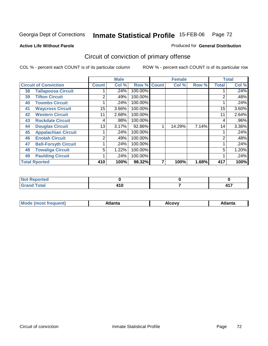Produced for **General Distribution**

### **Active Life Without Parole**

# Circuit of conviction of primary offense

|    |                              |                | <b>Male</b> |                    | <b>Female</b> |       |                | <b>Total</b> |
|----|------------------------------|----------------|-------------|--------------------|---------------|-------|----------------|--------------|
|    | <b>Circuit of Conviction</b> | <b>Count</b>   | Col %       | <b>Row % Count</b> | Col %         | Row % | <b>Total</b>   | Col %        |
| 38 | <b>Tallapoosa Circuit</b>    |                | .24%        | 100.00%            |               |       |                | $.24\%$      |
| 39 | <b>Tifton Circuit</b>        | 2              | .49%        | 100.00%            |               |       | 2              | .48%         |
| 40 | <b>Toombs Circuit</b>        |                | .24%        | 100.00%            |               |       |                | .24%         |
| 41 | <b>Waycross Circuit</b>      | 15             | 3.66%       | 100.00%            |               |       | 15             | 3.60%        |
| 42 | <b>Western Circuit</b>       | 11             | 2.68%       | 100.00%            |               |       | 11             | 2.64%        |
| 43 | <b>Rockdale Circuit</b>      | 4              | .98%        | 100.00%            |               |       | 4              | $.96\%$      |
| 44 | <b>Douglas Circuit</b>       | 13             | 3.17%       | 92.86%             | 14.29%        | 7.14% | 14             | 3.36%        |
| 45 | <b>Appalachian Circuit</b>   |                | .24%        | 100.00%            |               |       |                | .24%         |
| 46 | <b>Enotah Circuit</b>        | $\overline{2}$ | .49%        | 100.00%            |               |       | $\overline{2}$ | .48%         |
| 47 | <b>Bell-Forsyth Circuit</b>  |                | .24%        | 100.00%            |               |       |                | .24%         |
| 48 | <b>Towaliga Circuit</b>      | 5              | 1.22%       | 100.00%            |               |       | 5              | 1.20%        |
| 49 | <b>Paulding Circuit</b>      |                | .24%        | 100.00%            |               |       |                | .24%         |
|    | <b>Total Rported</b>         | 410            | 100%        | 98.32%             | 100%          | 1.68% | 417            | 100%         |

| المتحدقين<br><b>NOT Reported</b> |  |   |
|----------------------------------|--|---|
| $T = 4 - T$                      |  | . |

| М<br>. | Atlanta | `ow,<br>$ -$ | Atlanta |
|--------|---------|--------------|---------|
|        |         |              |         |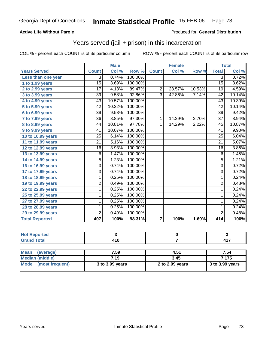#### **Active Life Without Parole**

#### Produced for **General Distribution**

## Years served (jail + prison) in this incarceration

|                              |                 | <b>Male</b> |         |                         | <b>Female</b> |        | <b>Total</b>    |        |
|------------------------------|-----------------|-------------|---------|-------------------------|---------------|--------|-----------------|--------|
| <b>Years Served</b>          | <b>Count</b>    | Col %       | Row %   | <b>Count</b>            | Col %         | Row %  | <b>Total</b>    | Col %  |
| Less than one year           | 3               | 0.74%       | 100.00% |                         |               |        | 3               | 0.72%  |
| 1 to 1.99 years              | $\overline{15}$ | 3.69%       | 100.00% |                         |               |        | $\overline{15}$ | 3.62%  |
| 2 to 2.99 years              | 17              | 4.18%       | 89.47%  | $\overline{2}$          | 28.57%        | 10.53% | 19              | 4.59%  |
| 3 to 3.99 years              | 39              | 9.58%       | 92.86%  | $\overline{3}$          | 42.86%        | 7.14%  | 42              | 10.14% |
| $4$ to $4.99$ years          | 43              | 10.57%      | 100.00% |                         |               |        | 43              | 10.39% |
| $\overline{5}$ to 5.99 years | 42              | 10.32%      | 100.00% |                         |               |        | 42              | 10.14% |
| 6 to 6.99 years              | 39              | 9.58%       | 100.00% |                         |               |        | 39              | 9.42%  |
| 7 to 7.99 years              | 36              | 8.85%       | 97.30%  | $\mathbf{1}$            | 14.29%        | 2.70%  | $\overline{37}$ | 8.94%  |
| 8 to 8.99 years              | 44              | 10.81%      | 97.78%  | 1                       | 14.29%        | 2.22%  | 45              | 10.87% |
| 9 to 9.99 years              | 41              | 10.07%      | 100.00% |                         |               |        | $\overline{41}$ | 9.90%  |
| 10 to 10.99 years            | 25              | 6.14%       | 100.00% |                         |               |        | 25              | 6.04%  |
| 11 to 11.99 years            | 21              | 5.16%       | 100.00% |                         |               |        | $\overline{21}$ | 5.07%  |
| 12 to 12.99 years            | 16              | 3.93%       | 100.00% |                         |               |        | 16              | 3.86%  |
| 13 to 13.99 years            | $\overline{6}$  | 1.47%       | 100.00% |                         |               |        | $\overline{6}$  | 1.45%  |
| 14 to 14.99 years            | 5               | 1.23%       | 100.00% |                         |               |        | $\overline{5}$  | 1.21%  |
| 16 to 16.99 years            | $\overline{3}$  | 0.74%       | 100.00% |                         |               |        | $\overline{3}$  | 0.72%  |
| 17 to 17.99 years            | $\overline{3}$  | 0.74%       | 100.00% |                         |               |        | $\overline{3}$  | 0.72%  |
| 18 to 18.99 years            | $\overline{1}$  | 0.25%       | 100.00% |                         |               |        | $\overline{1}$  | 0.24%  |
| 19 to 19.99 years            | $\overline{2}$  | 0.49%       | 100.00% |                         |               |        | $\overline{2}$  | 0.48%  |
| 22 to 22.99 years            | 1               | 0.25%       | 100.00% |                         |               |        | 1               | 0.24%  |
| 25 to 25.99 years            | 1               | 0.25%       | 100.00% |                         |               |        | 1               | 0.24%  |
| 27 to 27.99 years            | $\overline{1}$  | 0.25%       | 100.00% |                         |               |        | $\overline{1}$  | 0.24%  |
| 28 to 28.99 years            | 1               | 0.25%       | 100.00% |                         |               |        | $\mathbf{1}$    | 0.24%  |
| 29 to 29.99 years            | $\overline{2}$  | 0.49%       | 100.00% |                         |               |        | $\overline{2}$  | 0.48%  |
| <b>Total Reported</b>        | 407             | 100%        | 98.31%  | $\overline{\mathbf{r}}$ | 100%          | 1.69%  | 414             | 100%   |

| المتحدقات المتحدث<br>тес. |            |          |
|---------------------------|------------|----------|
| $T = 4$                   | <br>$\sim$ | 117<br>. |

| Mean<br>(average)    | 7.59            | 4.51            | 7.54              |
|----------------------|-----------------|-----------------|-------------------|
| Median (middle)      | 7.19            | 3.45            | 7.175             |
| Mode (most frequent) | 3 to 3.99 years | 2 to 2.99 years | $3$ to 3.99 years |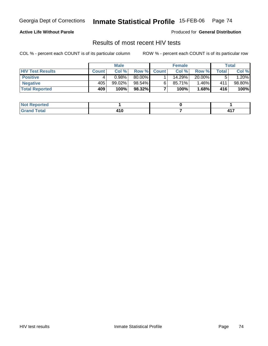#### **Active Life Without Parole**

Produced for **General Distribution**

### Results of most recent HIV tests

|                         | <b>Male</b>  |           |        | <b>Female</b> |        |         | Total |             |
|-------------------------|--------------|-----------|--------|---------------|--------|---------|-------|-------------|
| <b>HIV Test Results</b> | <b>Count</b> | Col %     | Row %  | <b>Count</b>  | Col %  | Row %   | Total | Col %       |
| <b>Positive</b>         |              | 0.98%     | 80.00% |               | 14.29% | 20.00%  |       | .20%        |
| <b>Negative</b>         | 405          | $99.02\%$ | 98.54% |               | 85.71% | $.46\%$ | 411   | 98.80%      |
| <b>Total Reported</b>   | 409          | 100%      | 98.32% |               | 100%   | 1.68%   | 416   | <b>100%</b> |

| <b>Not Reported</b>  |                          |          |
|----------------------|--------------------------|----------|
| <b>Total</b><br>Gran | 1 A A<br>4 I V<br>$\sim$ | ,,,<br>. |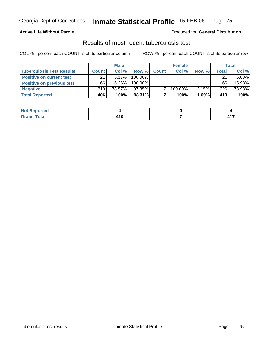### **Active Life Without Parole**

#### Produced for **General Distribution**

## Results of most recent tuberculosis test

|                                  | <b>Male</b>  |           |         | <b>Female</b> | <b>Total</b> |       |       |          |
|----------------------------------|--------------|-----------|---------|---------------|--------------|-------|-------|----------|
| <b>Tuberculosis Test Results</b> | <b>Count</b> | Col%      | Row %   | <b>Count</b>  | Col %        | Row % | Total | Col %    |
| <b>Positive on current test</b>  | 21           | $5.17\%$  | 100.00% |               |              |       | 21    | $5.08\%$ |
| <b>Positive on previous test</b> | 66           | $16.26\%$ | 100.00% |               |              |       | 66    | 15.98%   |
| <b>Negative</b>                  | 319          | 78.57%    | 97.85%  |               | 100.00%      | 2.15% | 326   | 78.93%   |
| <b>Total Reported</b>            | 406          | 100%      | 98.31%  |               | 100%         | 1.69% | 413   | 100%     |

| orted        |   |            |
|--------------|---|------------|
| <b>Total</b> | . | 117        |
| _____        | u | <b>TII</b> |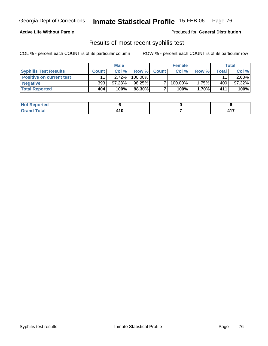### **Active Life Without Parole**

Produced for **General Distribution**

## Results of most recent syphilis test

|                                 | <b>Male</b>  |           | <b>Female</b> |             |         | Total    |                    |           |
|---------------------------------|--------------|-----------|---------------|-------------|---------|----------|--------------------|-----------|
| <b>Syphilis Test Results</b>    | <b>Count</b> | Col %     |               | Row % Count | Col %   | Row %    | $\mathsf{Total}$ . | Col %     |
| <b>Positive on current test</b> |              | 2.72%     | 100.00%       |             |         |          | 11                 | $2.68\%$  |
| <b>Negative</b>                 | 393          | $97.28\%$ | 98.25%        |             | 100.00% | 1.75%    | 400                | $97.32\%$ |
| <b>Total Reported</b>           | 404          | 100%      | 98.30%        |             | 100%    | $1.70\%$ | 411                | 100%      |

| <b>Not Reported</b> |                        |          |
|---------------------|------------------------|----------|
| <b>Total</b>        | 1 A C<br>/ I V<br>$ -$ | ,,,<br>. |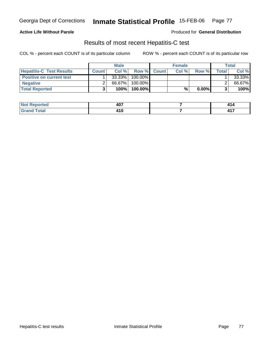### **Active Life Without Parole**

Produced for **General Distribution**

## Results of most recent Hepatitis-C test

|                                 | <b>Male</b>  |        | <b>Female</b> |             |       | Total    |         |        |
|---------------------------------|--------------|--------|---------------|-------------|-------|----------|---------|--------|
| <b>Hepatitis-C Test Results</b> | <b>Count</b> | Col %  |               | Row % Count | Col % | Row %    | Total I | Col %  |
| <b>Positive on current test</b> |              | 33.33% | 100.00%       |             |       |          |         | 33.33% |
| <b>Negative</b>                 |              | 66.67% | 100.00%       |             |       |          |         | 66.67% |
| <b>Total Reported</b>           |              | 100%   | 100.00%       |             | %     | $0.00\%$ |         | 100%   |

| rted         | $AD^-$         | ٠.          |
|--------------|----------------|-------------|
| N            | TV.            |             |
| <b>Total</b> | 1 A A<br>4 I V | ,,,<br>– 17 |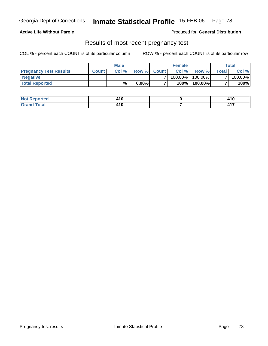### **Active Life Without Parole**

Produced for **General Distribution**

### Results of most recent pregnancy test

|                               | <b>Male</b>  |       |          | <b>Female</b> |            |            | Total        |         |
|-------------------------------|--------------|-------|----------|---------------|------------|------------|--------------|---------|
| <b>Pregnancy Test Results</b> | <b>Count</b> | Col % |          | Row % Count   | Col %      | Row %      | <b>Total</b> | Col %   |
| <b>Negative</b>               |              |       |          |               | $100.00\%$ | $100.00\%$ |              | 100.00% |
| <b>Total Reported</b>         |              | %     | $0.00\%$ |               | 100%       | 100.00%    |              | 100%    |

| orted           | 11 C<br>4 I V | 14 C<br>4 I V |
|-----------------|---------------|---------------|
| $int^{\bullet}$ | 1 A C         | .             |
| ______          | 4 I V         | <b>TII</b>    |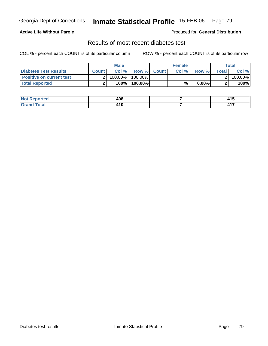### **Active Life Without Parole**

#### Produced for **General Distribution**

## Results of most recent diabetes test

|                                 | <b>Male</b>  |            |                    | <b>Female</b> |       |          | Total   |         |
|---------------------------------|--------------|------------|--------------------|---------------|-------|----------|---------|---------|
| Diabetes Test Results           | <b>Count</b> | Col %      | <b>Row % Count</b> |               | Col % | Row %    | Total l | Col %   |
| <b>Positive on current test</b> |              | $100.00\%$ | 100.00% I          |               |       |          |         | 100.00% |
| <b>Total Reported</b>           |              | 100%       | 100.00%            |               | %     | $0.00\%$ |         | 100%    |

| orted              | 408            | .<br>ט ד          |
|--------------------|----------------|-------------------|
| í ota <sup>l</sup> | 1 A M<br>4 I U | ,,,<br><b>TII</b> |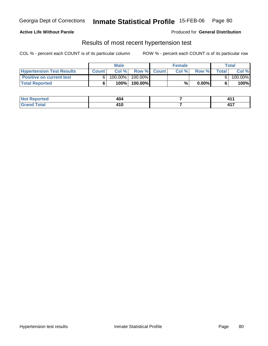### **Active Life Without Parole**

Produced for **General Distribution**

### Results of most recent hypertension test

|                                  | <b>Male</b>  |            |           | <b>Female</b> |      |          | Total |         |
|----------------------------------|--------------|------------|-----------|---------------|------|----------|-------|---------|
| <b>Hypertension Test Results</b> | <b>Count</b> | Col %      |           | Row % Count   | Col% | Row %    | Total | Col %   |
| <b>Positive on current test</b>  |              | $100.00\%$ | 100.00% I |               |      |          |       | 100.00% |
| <b>Total Reported</b>            |              | 100%       | 100.00%   |               | %    | $0.00\%$ |       | 100%    |

| orted | /۸۸<br>רשד     |                 |
|-------|----------------|-----------------|
| _____ | 1 4 N<br>4 I V | .<br><b>TII</b> |